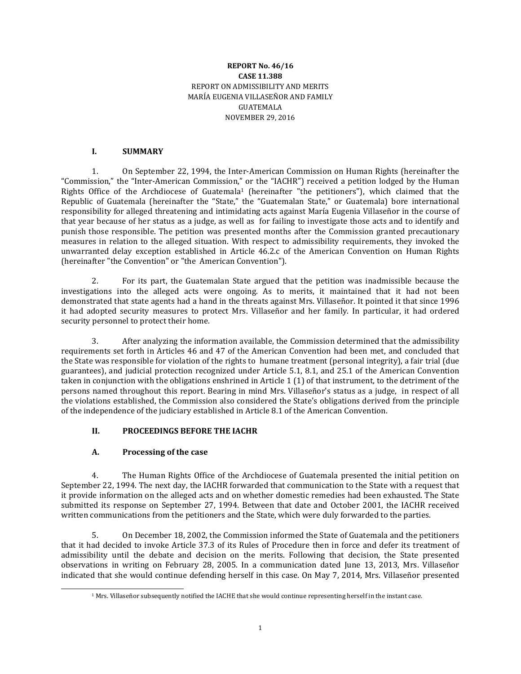### **REPORT No. 46/16 CASE 11.388** REPORT ON ADMISSIBILITY AND MERITS MARÍA EUGENIA VILLASEÑOR AND FAMILY GUATEMALA NOVEMBER 29, 2016

### **I. SUMMARY**

1. On September 22, 1994, the Inter-American Commission on Human Rights (hereinafter the "Commission," the "Inter-American Commission," or the "IACHR") received a petition lodged by the Human Rights Office of the Archdiocese of Guatemala<sup>1</sup> (hereinafter "the petitioners"), which claimed that the Republic of Guatemala (hereinafter the "State," the "Guatemalan State," or Guatemala) bore international responsibility for alleged threatening and intimidating acts against María Eugenia Villaseñor in the course of that year because of her status as a judge, as well as for failing to investigate those acts and to identify and punish those responsible. The petition was presented months after the Commission granted precautionary measures in relation to the alleged situation. With respect to admissibility requirements, they invoked the unwarranted delay exception established in Article 46.2.c of the American Convention on Human Rights (hereinafter "the Convention" or "the American Convention").

2. For its part, the Guatemalan State argued that the petition was inadmissible because the investigations into the alleged acts were ongoing. As to merits, it maintained that it had not been demonstrated that state agents had a hand in the threats against Mrs. Villaseñor. It pointed it that since 1996 it had adopted security measures to protect Mrs. Villaseñor and her family. In particular, it had ordered security personnel to protect their home.

3. After analyzing the information available, the Commission determined that the admissibility requirements set forth in Articles 46 and 47 of the American Convention had been met, and concluded that the State was responsible for violation of the rights to humane treatment (personal integrity), a fair trial (due guarantees), and judicial protection recognized under Article 5.1, 8.1, and 25.1 of the American Convention taken in conjunction with the obligations enshrined in Article 1 (1) of that instrument, to the detriment of the persons named throughout this report. Bearing in mind Mrs. Villaseñor's status as a judge, in respect of all the violations established, the Commission also considered the State's obligations derived from the principle of the independence of the judiciary established in Article 8.1 of the American Convention.

## **II. PROCEEDINGS BEFORE THE IACHR**

## **A. Processing of the case**

 $\overline{a}$ 

4. The Human Rights Office of the Archdiocese of Guatemala presented the initial petition on September 22, 1994. The next day, the IACHR forwarded that communication to the State with a request that it provide information on the alleged acts and on whether domestic remedies had been exhausted. The State submitted its response on September 27, 1994. Between that date and October 2001, the IACHR received written communications from the petitioners and the State, which were duly forwarded to the parties.

5. On December 18, 2002, the Commission informed the State of Guatemala and the petitioners that it had decided to invoke Article 37.3 of its Rules of Procedure then in force and defer its treatment of admissibility until the debate and decision on the merits. Following that decision, the State presented observations in writing on February 28, 2005. In a communication dated June 13, 2013, Mrs. Villaseñor indicated that she would continue defending herself in this case. On May 7, 2014, Mrs. Villaseñor presented

<sup>&</sup>lt;sup>1</sup> Mrs. Villaseñor subsequently notified the IACHE that she would continue representing herself in the instant case.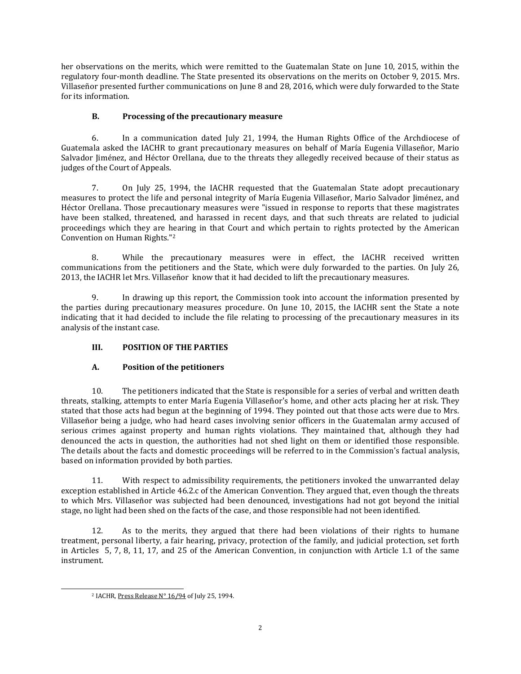her observations on the merits, which were remitted to the Guatemalan State on June 10, 2015, within the regulatory four-month deadline. The State presented its observations on the merits on October 9, 2015. Mrs. Villaseñor presented further communications on June 8 and 28, 2016, which were duly forwarded to the State for its information.

## **B. Processing of the precautionary measure**

6. In a communication dated July 21, 1994, the Human Rights Office of the Archdiocese of Guatemala asked the IACHR to grant precautionary measures on behalf of María Eugenia Villaseñor, Mario Salvador Jiménez, and Héctor Orellana, due to the threats they allegedly received because of their status as judges of the Court of Appeals.

7. On July 25, 1994, the IACHR requested that the Guatemalan State adopt precautionary measures to protect the life and personal integrity of María Eugenia Villaseñor, Mario Salvador Jiménez, and Héctor Orellana. Those precautionary measures were "issued in response to reports that these magistrates have been stalked, threatened, and harassed in recent days, and that such threats are related to judicial proceedings which they are hearing in that Court and which pertain to rights protected by the American Convention on Human Rights."<sup>2</sup>

8. While the precautionary measures were in effect, the IACHR received written communications from the petitioners and the State, which were duly forwarded to the parties. On July 26, 2013, the IACHR let Mrs. Villaseñor know that it had decided to lift the precautionary measures.

9. In drawing up this report, the Commission took into account the information presented by the parties during precautionary measures procedure. On June 10, 2015, the IACHR sent the State a note indicating that it had decided to include the file relating to processing of the precautionary measures in its analysis of the instant case.

# **III. POSITION OF THE PARTIES**

# **A. Position of the petitioners**

10. The petitioners indicated that the State is responsible for a series of verbal and written death threats, stalking, attempts to enter María Eugenia Villaseñor's home, and other acts placing her at risk. They stated that those acts had begun at the beginning of 1994. They pointed out that those acts were due to Mrs. Villaseñor being a judge, who had heard cases involving senior officers in the Guatemalan army accused of serious crimes against property and human rights violations. They maintained that, although they had denounced the acts in question, the authorities had not shed light on them or identified those responsible. The details about the facts and domestic proceedings will be referred to in the Commission's factual analysis, based on information provided by both parties.

11. With respect to admissibility requirements, the petitioners invoked the unwarranted delay exception established in Article 46.2.c of the American Convention. They argued that, even though the threats to which Mrs. Villaseñor was subjected had been denounced, investigations had not got beyond the initial stage, no light had been shed on the facts of the case, and those responsible had not been identified.

12. As to the merits, they argued that there had been violations of their rights to humane treatment, personal liberty, a fair hearing, privacy, protection of the family, and judicial protection, set forth in Articles 5, 7, 8, 11, 17, and 25 of the American Convention, in conjunction with Article 1.1 of the same instrument.

 $\overline{a}$ 

<sup>2</sup> IACHR, Press [Release](file:///C:/Users/Usuario/AppData/Local/Temp/:%20http:/www.cidh.org/Comunicados/English/1994/Press11-20.htm%23Nº%2016/94) N° 16/94 of July 25, 1994.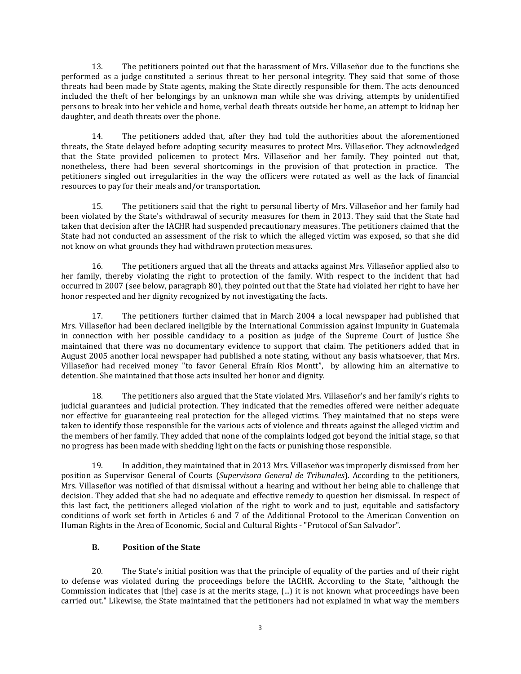13. The petitioners pointed out that the harassment of Mrs. Villaseñor due to the functions she performed as a judge constituted a serious threat to her personal integrity. They said that some of those threats had been made by State agents, making the State directly responsible for them. The acts denounced included the theft of her belongings by an unknown man while she was driving, attempts by unidentified persons to break into her vehicle and home, verbal death threats outside her home, an attempt to kidnap her daughter, and death threats over the phone.

14. The petitioners added that, after they had told the authorities about the aforementioned threats, the State delayed before adopting security measures to protect Mrs. Villaseñor. They acknowledged that the State provided policemen to protect Mrs. Villaseñor and her family. They pointed out that, nonetheless, there had been several shortcomings in the provision of that protection in practice. The petitioners singled out irregularities in the way the officers were rotated as well as the lack of financial resources to pay for their meals and/or transportation.

15. The petitioners said that the right to personal liberty of Mrs. Villaseñor and her family had been violated by the State's withdrawal of security measures for them in 2013. They said that the State had taken that decision after the IACHR had suspended precautionary measures. The petitioners claimed that the State had not conducted an assessment of the risk to which the alleged victim was exposed, so that she did not know on what grounds they had withdrawn protection measures.

16. The petitioners argued that all the threats and attacks against Mrs. Villaseñor applied also to her family, thereby violating the right to protection of the family. With respect to the incident that had occurred in 2007 (see below, paragraph 80), they pointed out that the State had violated her right to have her honor respected and her dignity recognized by not investigating the facts.

17. The petitioners further claimed that in March 2004 a local newspaper had published that Mrs. Villaseñor had been declared ineligible by the International Commission against Impunity in Guatemala in connection with her possible candidacy to a position as judge of the Supreme Court of Justice She maintained that there was no documentary evidence to support that claim. The petitioners added that in August 2005 another local newspaper had published a note stating, without any basis whatsoever, that Mrs. Villaseñor had received money "to favor General Efraín Ríos Montt", by allowing him an alternative to detention. She maintained that those acts insulted her honor and dignity.

18. The petitioners also argued that the State violated Mrs. Villaseñor's and her family's rights to judicial guarantees and judicial protection. They indicated that the remedies offered were neither adequate nor effective for guaranteeing real protection for the alleged victims. They maintained that no steps were taken to identify those responsible for the various acts of violence and threats against the alleged victim and the members of her family. They added that none of the complaints lodged got beyond the initial stage, so that no progress has been made with shedding light on the facts or punishing those responsible.

19. In addition, they maintained that in 2013 Mrs. Villaseñor was improperly dismissed from her position as Supervisor General of Courts (*Supervisora General de Tribunales*). According to the petitioners, Mrs. Villaseñor was notified of that dismissal without a hearing and without her being able to challenge that decision. They added that she had no adequate and effective remedy to question her dismissal. In respect of this last fact, the petitioners alleged violation of the right to work and to just, equitable and satisfactory conditions of work set forth in Articles 6 and 7 of the Additional Protocol to the American Convention on Human Rights in the Area of Economic, Social and Cultural Rights - "Protocol of San Salvador".

## **B. Position of the State**

20. The State's initial position was that the principle of equality of the parties and of their right to defense was violated during the proceedings before the IACHR. According to the State, "although the Commission indicates that [the] case is at the merits stage, (...) it is not known what proceedings have been carried out." Likewise, the State maintained that the petitioners had not explained in what way the members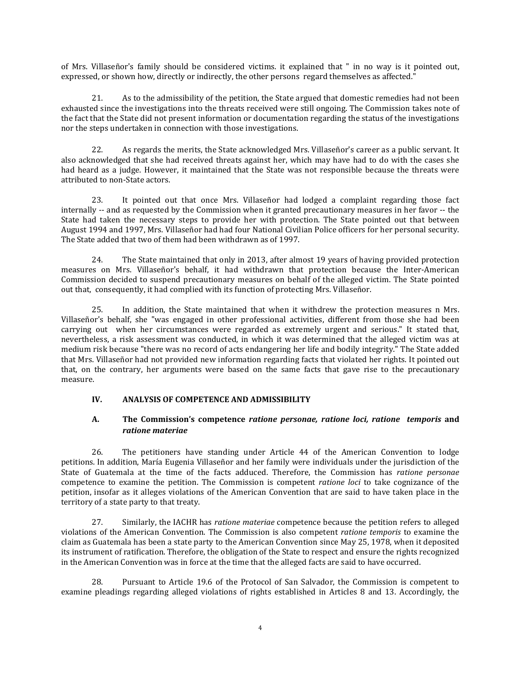of Mrs. Villaseñor's family should be considered victims. it explained that " in no way is it pointed out, expressed, or shown how, directly or indirectly, the other persons regard themselves as affected."

21. As to the admissibility of the petition, the State argued that domestic remedies had not been exhausted since the investigations into the threats received were still ongoing. The Commission takes note of the fact that the State did not present information or documentation regarding the status of the investigations nor the steps undertaken in connection with those investigations.

22. As regards the merits, the State acknowledged Mrs. Villaseñor's career as a public servant. It also acknowledged that she had received threats against her, which may have had to do with the cases she had heard as a judge. However, it maintained that the State was not responsible because the threats were attributed to non-State actors.

23. It pointed out that once Mrs. Villaseñor had lodged a complaint regarding those fact internally -- and as requested by the Commission when it granted precautionary measures in her favor -- the State had taken the necessary steps to provide her with protection. The State pointed out that between August 1994 and 1997, Mrs. Villaseñor had had four National Civilian Police officers for her personal security. The State added that two of them had been withdrawn as of 1997.

24. The State maintained that only in 2013, after almost 19 years of having provided protection measures on Mrs. Villaseñor's behalf, it had withdrawn that protection because the Inter-American Commission decided to suspend precautionary measures on behalf of the alleged victim. The State pointed out that, consequently, it had complied with its function of protecting Mrs. Villaseñor.

25. In addition, the State maintained that when it withdrew the protection measures n Mrs. Villaseñor's behalf, she "was engaged in other professional activities, different from those she had been carrying out when her circumstances were regarded as extremely urgent and serious." It stated that, nevertheless, a risk assessment was conducted, in which it was determined that the alleged victim was at medium risk because "there was no record of acts endangering her life and bodily integrity." The State added that Mrs. Villaseñor had not provided new information regarding facts that violated her rights. It pointed out that, on the contrary, her arguments were based on the same facts that gave rise to the precautionary measure.

## **IV. ANALYSIS OF COMPETENCE AND ADMISSIBILITY**

## **A. The Commission's competence** *ratione personae, ratione loci, ratione temporis* **and** *ratione materiae*

26. The petitioners have standing under Article 44 of the American Convention to lodge petitions. In addition, María Eugenia Villaseñor and her family were individuals under the jurisdiction of the State of Guatemala at the time of the facts adduced. Therefore, the Commission has *ratione personae* competence to examine the petition. The Commission is competent *ratione loci* to take cognizance of the petition, insofar as it alleges violations of the American Convention that are said to have taken place in the territory of a state party to that treaty.

27. Similarly, the IACHR has *ratione materiae* competence because the petition refers to alleged violations of the American Convention. The Commission is also competent *ratione temporis* to examine the claim as Guatemala has been a state party to the American Convention since May 25, 1978, when it deposited its instrument of ratification. Therefore, the obligation of the State to respect and ensure the rights recognized in the American Convention was in force at the time that the alleged facts are said to have occurred.

28. Pursuant to Article 19.6 of the Protocol of San Salvador, the Commission is competent to examine pleadings regarding alleged violations of rights established in Articles 8 and 13. Accordingly, the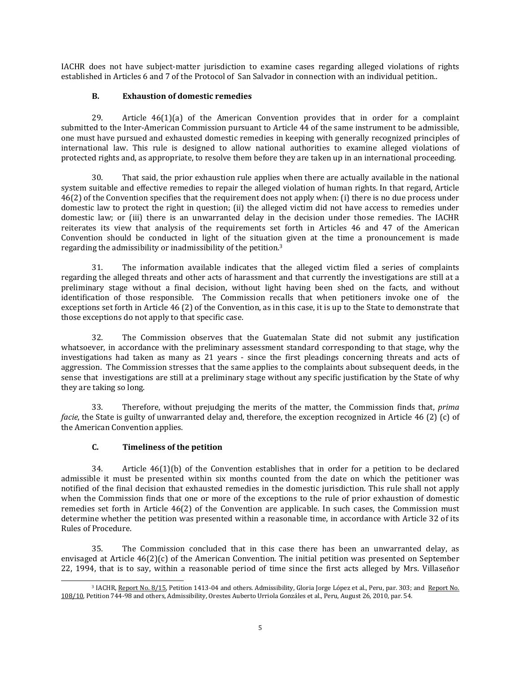IACHR does not have subject-matter jurisdiction to examine cases regarding alleged violations of rights established in Articles 6 and 7 of the Protocol of San Salvador in connection with an individual petition..

### **B. Exhaustion of domestic remedies**

29. Article 46(1)(a) of the American Convention provides that in order for a complaint submitted to the Inter-American Commission pursuant to Article 44 of the same instrument to be admissible, one must have pursued and exhausted domestic remedies in keeping with generally recognized principles of international law. This rule is designed to allow national authorities to examine alleged violations of protected rights and, as appropriate, to resolve them before they are taken up in an international proceeding.

30. That said, the prior exhaustion rule applies when there are actually available in the national system suitable and effective remedies to repair the alleged violation of human rights. In that regard, Article 46(2) of the Convention specifies that the requirement does not apply when: (i) there is no due process under domestic law to protect the right in question; (ii) the alleged victim did not have access to remedies under domestic law; or (iii) there is an unwarranted delay in the decision under those remedies. The IACHR reiterates its view that analysis of the requirements set forth in Articles 46 and 47 of the American Convention should be conducted in light of the situation given at the time a pronouncement is made regarding the admissibility or inadmissibility of the petition.<sup>3</sup>

31. The information available indicates that the alleged victim filed a series of complaints regarding the alleged threats and other acts of harassment and that currently the investigations are still at a preliminary stage without a final decision, without light having been shed on the facts, and without identification of those responsible. The Commission recalls that when petitioners invoke one of the exceptions set forth in Article 46 (2) of the Convention, as in this case, it is up to the State to demonstrate that those exceptions do not apply to that specific case.

32. The Commission observes that the Guatemalan State did not submit any justification whatsoever, in accordance with the preliminary assessment standard corresponding to that stage, why the investigations had taken as many as 21 years - since the first pleadings concerning threats and acts of aggression. The Commission stresses that the same applies to the complaints about subsequent deeds, in the sense that investigations are still at a preliminary stage without any specific justification by the State of why they are taking so long.

33. Therefore, without prejudging the merits of the matter, the Commission finds that, *prima facie*, the State is guilty of unwarranted delay and, therefore, the exception recognized in Article 46 (2) (c) of the American Convention applies.

## **C. Timeliness of the petition**

34. Article  $46(1)(b)$  of the Convention establishes that in order for a petition to be declared admissible it must be presented within six months counted from the date on which the petitioner was notified of the final decision that exhausted remedies in the domestic jurisdiction. This rule shall not apply when the Commission finds that one or more of the exceptions to the rule of prior exhaustion of domestic remedies set forth in Article 46(2) of the Convention are applicable. In such cases, the Commission must determine whether the petition was presented within a reasonable time, in accordance with Article 32 of its Rules of Procedure.

35. The Commission concluded that in this case there has been an unwarranted delay, as envisaged at Article 46(2)(c) of the American Convention. The initial petition was presented on September 22, 1994, that is to say, within a reasonable period of time since the first acts alleged by Mrs. Villaseñor

 $\overline{\phantom{a}}$ <sup>3</sup> IACHR, [Report](http://www.oas.org/en/iachr/decisions/2015/PEAD1413-04EN.pdf) No. 8/15, Petition 1413-04 and others. Admissibility, Gloria Jorge López et al., Peru, par. 303; and [Report](http://www.cidh.org/annualrep/2010eng/PEAD744-98EN.DOC) No. [108/10,](http://www.cidh.org/annualrep/2010eng/PEAD744-98EN.DOC) Petition 744-98 and others, Admissibility, Orestes Auberto Urriola Gonzáles et al., Peru, August 26, 2010, par. 54.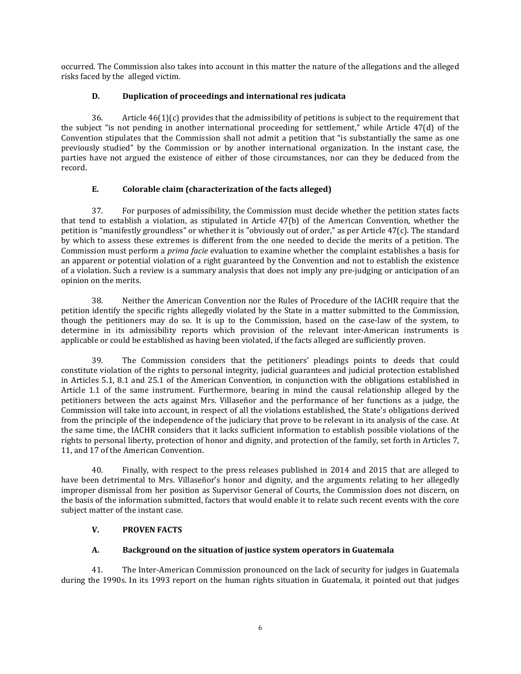occurred. The Commission also takes into account in this matter the nature of the allegations and the alleged risks faced by the alleged victim.

## **D. Duplication of proceedings and international res judicata**

36. Article  $46(1)(c)$  provides that the admissibility of petitions is subject to the requirement that the subject "is not pending in another international proceeding for settlement," while Article 47(d) of the Convention stipulates that the Commission shall not admit a petition that "is substantially the same as one previously studied" by the Commission or by another international organization. In the instant case, the parties have not argued the existence of either of those circumstances, nor can they be deduced from the record.

# **E. Colorable claim (characterization of the facts alleged)**

37. For purposes of admissibility, the Commission must decide whether the petition states facts that tend to establish a violation, as stipulated in Article 47(b) of the American Convention, whether the petition is "manifestly groundless" or whether it is "obviously out of order," as per Article 47(c). The standard by which to assess these extremes is different from the one needed to decide the merits of a petition. The Commission must perform a *prima facie* evaluation to examine whether the complaint establishes a basis for an apparent or potential violation of a right guaranteed by the Convention and not to establish the existence of a violation. Such a review is a summary analysis that does not imply any pre-judging or anticipation of an opinion on the merits.

38. Neither the American Convention nor the Rules of Procedure of the IACHR require that the petition identify the specific rights allegedly violated by the State in a matter submitted to the Commission, though the petitioners may do so. It is up to the Commission, based on the case-law of the system, to determine in its admissibility reports which provision of the relevant inter-American instruments is applicable or could be established as having been violated, if the facts alleged are sufficiently proven.

39. The Commission considers that the petitioners' pleadings points to deeds that could constitute violation of the rights to personal integrity, judicial guarantees and judicial protection established in Articles 5.1, 8.1 and 25.1 of the American Convention, in conjunction with the obligations established in Article 1.1 of the same instrument. Furthermore, bearing in mind the causal relationship alleged by the petitioners between the acts against Mrs. Villaseñor and the performance of her functions as a judge, the Commission will take into account, in respect of all the violations established, the State's obligations derived from the principle of the independence of the judiciary that prove to be relevant in its analysis of the case. At the same time, the IACHR considers that it lacks sufficient information to establish possible violations of the rights to personal liberty, protection of honor and dignity, and protection of the family, set forth in Articles 7, 11, and 17 of the American Convention.

40. Finally, with respect to the press releases published in 2014 and 2015 that are alleged to have been detrimental to Mrs. Villaseñor's honor and dignity, and the arguments relating to her allegedly improper dismissal from her position as Supervisor General of Courts, the Commission does not discern, on the basis of the information submitted, factors that would enable it to relate such recent events with the core subject matter of the instant case.

## **V. PROVEN FACTS**

# **A. Background on the situation of justice system operators in Guatemala**

41. The Inter-American Commission pronounced on the lack of security for judges in Guatemala during the 1990s. In its 1993 report on the human rights situation in Guatemala, it pointed out that judges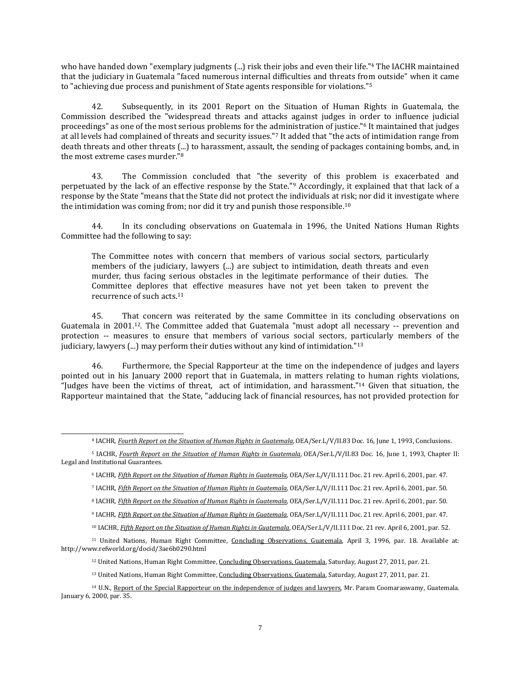who have handed down "exemplary judgments (...) risk their jobs and even their life."<sup>4</sup> The IACHR maintained that the judiciary in Guatemala "faced numerous internal difficulties and threats from outside" when it came to "achieving due process and punishment of State agents responsible for violations."<sup>5</sup>

42. Subsequently, in its 2001 Report on the Situation of Human Rights in Guatemala, the Commission described the "widespread threats and attacks against judges in order to influence judicial proceedings" as one of the most serious problems for the administration of justice."<sup>6</sup> It maintained that judges at all levels had complained of threats and security issues."<sup>7</sup> It added that "the acts of intimidation range from death threats and other threats (...) to harassment, assault, the sending of packages containing bombs, and, in the most extreme cases murder."<sup>8</sup>

43. The Commission concluded that "the severity of this problem is exacerbated and perpetuated by the lack of an effective response by the State."<sup>9</sup> Accordingly, it explained that that lack of a response by the State "means that the State did not protect the individuals at risk; nor did it investigate where the intimidation was coming from; nor did it try and punish those responsible.<sup>10</sup>

44. In its concluding observations on Guatemala in 1996, the United Nations Human Rights Committee had the following to say:

The Committee notes with concern that members of various social sectors, particularly members of the judiciary, lawyers (...) are subject to intimidation, death threats and even murder, thus facing serious obstacles in the legitimate performance of their duties. The Committee deplores that effective measures have not yet been taken to prevent the recurrence of such acts. 11

45. That concern was reiterated by the same Committee in its concluding observations on Guatemala in 2001.12. The Committee added that Guatemala "must adopt all necessary -- prevention and protection -- measures to ensure that members of various social sectors, particularly members of the judiciary, lawyers  $(...)$  may perform their duties without any kind of intimidation." $13$ 

46. Furthermore, the Special Rapporteur at the time on the independence of judges and layers pointed out in his January 2000 report that in Guatemala, in matters relating to human rights violations, "Judges have been the victims of threat, act of intimidation, and harassment."<sup>14</sup> Given that situation, the Rapporteur maintained that the State, "adducing lack of financial resources, has not provided protection for

<sup>4</sup> IACHR, *Fourth Report on the Situation of Human Rights in [Guatemala](http://www.cidh.org/countryrep/Guatemala93eng/toc.htm)*, OEA/Ser.L/V/II.83 Doc. 16, June 1, 1993, Conclusions.

 $\overline{\phantom{a}}$ 

<sup>9</sup> IACHR, *Fifth Report on the Situation of Human Rights in [Guatemala](http://www.cidh.org/countryrep/Guate01eng/TOC.htm)*, OEA/Ser.L/V/II.111 Doc. 21 rev. April 6, 2001, par. 47.

<sup>5</sup> IACHR, *Fourth Report on the Situation of Human Rights in [Guatemala](http://www.cidh.org/countryrep/Guatemala93eng/toc.htm)*, OEA/Ser.L/V/II.83 Doc. 16, June 1, 1993, Chapter II: Legal and Institutional Guarantees.

<sup>6</sup> IACHR, *Fifth Report on the Situation of Human Rights in [Guatemala](http://www.cidh.org/countryrep/Guate01eng/TOC.htm)*, OEA/Ser.L/V/II.111 Doc. 21 rev. April 6, 2001, par. 47.

<sup>7</sup> IACHR, *Fifth Report on the Situation of Human Rights in [Guatemala](http://www.cidh.org/countryrep/Guate01eng/TOC.htm)*, OEA/Ser.L/V/II.111 Doc. 21 rev. April 6, 2001, par. 50.

<sup>8</sup> IACHR, *Fifth Report on the Situation of Human Rights in [Guatemala](http://www.cidh.org/countryrep/Guate01eng/TOC.htm)*, OEA/Ser.L/V/II.111 Doc. 21 rev. April 6, 2001, par. 50.

<sup>10</sup> IACHR, *Fifth Report on the Situation of Human Rights in [Guatemala](http://www.cidh.org/countryrep/Guate01eng/TOC.htm)*, OEA/Ser.L/V/II.111 Doc. 21 rev. April 6, 2001, par. 52.

<sup>&</sup>lt;sup>11</sup> United Nations, Human Right Committee, Concluding [Observations,](http://tbinternet.ohchr.org/_layouts/treatybodyexternal/Download.aspx?symbolno=CCPR%2fC%2f79%2fAdd.63&Lang=en) Guatemala, April 3, 1996, par. 18. Available at: http://www.refworld.org/docid/3ae6b0290.html

<sup>&</sup>lt;sup>12</sup> United Nations, Human Right Committee, Concluding [Observations,](http://docstore.ohchr.org/SelfServices/FilesHandler.ashx?enc=6QkG1d%2fPPRiCAqhKb7yhsmq1D%2b4Wvg6LhA1iuk%2bHo%2bXIYW%2fxIRPEbjg1qhsRocMXMCCR27wFgLz%2fl%2f8yVqlnRW8tfhRFWaFM0IH0ZROrRnr3FMcIuHmp7kfMhb0nBw7C) Guatemala, Saturday, August 27, 2011, par. 21.

<sup>&</sup>lt;sup>13</sup> United Nations, Human Right Committee, Concluding [Observations,](http://docstore.ohchr.org/SelfServices/FilesHandler.ashx?enc=6QkG1d%2fPPRiCAqhKb7yhsmq1D%2b4Wvg6LhA1iuk%2bHo%2bXIYW%2fxIRPEbjg1qhsRocMXMCCR27wFgLz%2fl%2f8yVqlnRW8tfhRFWaFM0IH0ZROrRnr3FMcIuHmp7kfMhb0nBw7C) Guatemala, Saturday, August 27, 2011, par. 21.

<sup>&</sup>lt;sup>14</sup> U.N., Report of the Special Rapporteur on the [independence](http://daccess-dds-ny.un.org/doc/UNDOC/GEN/G00/100/32/PDF/G0010032.pdf?OpenElement) of judges and lawyers, Mr. Param Coomaraswamy, Guatemala. January 6, 2000, par. 35.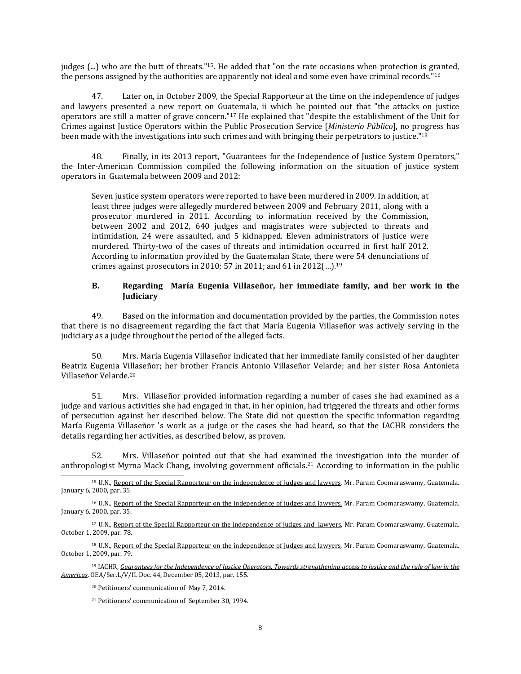judges (...) who are the butt of threats."15. He added that "on the rate occasions when protection is granted, the persons assigned by the authorities are apparently not ideal and some even have criminal records."<sup>16</sup>

47. Later on, in October 2009, the Special Rapporteur at the time on the independence of judges and lawyers presented a new report on Guatemala, ii which he pointed out that "the attacks on justice operators are still a matter of grave concern."<sup>17</sup> He explained that "despite the establishment of the Unit for Crimes against Justice Operators within the Public Prosecution Service [*Ministerio Público*], no progress has been made with the investigations into such crimes and with bringing their perpetrators to justice."<sup>18</sup>

48. Finally, in its 2013 report, "Guarantees for the Independence of Justice System Operators," the Inter-American Commission compiled the following information on the situation of justice system operators in Guatemala between 2009 and 2012:

Seven justice system operators were reported to have been murdered in 2009. In addition, at least three judges were allegedly murdered between 2009 and February 2011, along with a prosecutor murdered in 2011. According to information received by the Commission, between 2002 and 2012, 640 judges and magistrates were subjected to threats and intimidation, 24 were assaulted, and 5 kidnapped. Eleven administrators of justice were murdered. Thirty-two of the cases of threats and intimidation occurred in first half 2012. According to information provided by the Guatemalan State, there were 54 denunciations of crimes against prosecutors in 2010; 57 in 2011; and 61 in 2012 $(...)$ .<sup>19</sup>

#### **B. Regarding María Eugenia Villaseñor, her immediate family, and her work in the Judiciary**

49. Based on the information and documentation provided by the parties, the Commission notes that there is no disagreement regarding the fact that María Eugenia Villaseñor was actively serving in the judiciary as a judge throughout the period of the alleged facts.

50. Mrs. María Eugenia Villaseñor indicated that her immediate family consisted of her daughter Beatriz Eugenia Villaseñor; her brother Francis Antonio Villaseñor Velarde; and her sister Rosa Antonieta Villaseñor Velarde.<sup>20</sup>

51. Mrs. Villaseñor provided information regarding a number of cases she had examined as a judge and various activities she had engaged in that, in her opinion, had triggered the threats and other forms of persecution against her described below. The State did not question the specific information regarding María Eugenia Villaseñor 's work as a judge or the cases she had heard, so that the IACHR considers the details regarding her activities, as described below, as proven.

52. Mrs. Villaseñor pointed out that she had examined the investigation into the murder of anthropologist Myrna Mack Chang, involving government officials.<sup>21</sup> According to information in the public

 $\overline{\phantom{a}}$ <sup>15</sup> U.N., Report of the Special Rapporteur on the [independence](http://daccess-dds-ny.un.org/doc/UNDOC/GEN/G00/100/32/PDF/G0010032.pdf?OpenElement) of judges and lawyers, Mr. Param Coomaraswamy, Guatemala. January 6, 2000, par. 35.

<sup>16</sup> U.N., Report of the Special Rapporteur on the [independence](http://daccess-dds-ny.un.org/doc/UNDOC/GEN/G00/100/32/PDF/G0010032.pdf?OpenElement) of judges and lawyers, Mr. Param Coomaraswamy, Guatemala. January 6, 2000, par. 35.

<sup>17</sup> U.N., Report of the Special Rapporteur on the [independence](http://daccess-dds-ny.un.org/doc/UNDOC/GEN/G09/162/23/PDF/G0916223.pdf?OpenElement) of judges and lawyers, Mr. Param Coomaraswamy, Guatemala. October 1, 2009, par. 78.

<sup>18</sup> U.N., Report of the Special Rapporteur on the [independence](http://daccess-dds-ny.un.org/doc/UNDOC/GEN/G09/162/23/PDF/G0916223.pdf?OpenElement) of judges and lawyers, Mr. Param Coomaraswamy, Guatemala. October 1, 2009, par. 79.

<sup>19</sup> IACHR, Guarantees for the Independence of Justice Operators. Towards [strengthening](http://www.oas.org/es/cidh/defensores/docs/pdf/Justice-Operators-2013.pdf) access to justice and the rule of law in the *[Americas](http://www.oas.org/es/cidh/defensores/docs/pdf/Justice-Operators-2013.pdf)*. OEA/Ser.L/V/II. Doc. 44, December 05, 2013, par. 155.

<sup>20</sup> Petitioners' communication of May 7, 2014.

<sup>21</sup> Petitioners' communication of September 30, 1994.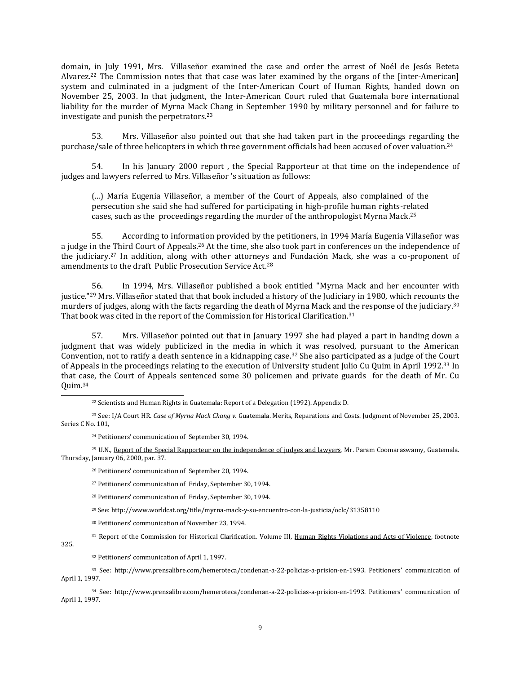domain, in July 1991, Mrs. Villaseñor examined the case and order the arrest of Noél de Jesús Beteta Alvarez.<sup>22</sup> The Commission notes that that case was later examined by the organs of the [inter-American] system and culminated in a judgment of the Inter-American Court of Human Rights, handed down on November 25, 2003. In that judgment, the Inter-American Court ruled that Guatemala bore international liability for the murder of Myrna Mack Chang in September 1990 by military personnel and for failure to investigate and punish the perpetrators.<sup>23</sup>

53. Mrs. Villaseñor also pointed out that she had taken part in the proceedings regarding the purchase/sale of three helicopters in which three government officials had been accused of over valuation.<sup>24</sup>

54. In his January 2000 report , the Special Rapporteur at that time on the independence of judges and lawyers referred to Mrs. Villaseñor 's situation as follows:

(...) María Eugenia Villaseñor, a member of the Court of Appeals, also complained of the persecution she said she had suffered for participating in high-profile human rights-related cases, such as the proceedings regarding the murder of the anthropologist Myrna Mack.<sup>25</sup>

55. According to information provided by the petitioners, in 1994 María Eugenia Villaseñor was a judge in the Third Court of Appeals.<sup>26</sup> At the time, she also took part in conferences on the independence of the judiciary.<sup>27</sup> In addition, along with other attorneys and Fundación Mack, she was a co-proponent of amendments to the draft Public Prosecution Service Act.<sup>28</sup>

56. In 1994, Mrs. Villaseñor published a book entitled "Myrna Mack and her encounter with justice."<sup>29</sup> Mrs. Villaseñor stated that that book included a history of the Judiciary in 1980, which recounts the murders of judges, along with the facts regarding the death of Myrna Mack and the response of the judiciary.<sup>30</sup> That book was cited in the report of the Commission for Historical Clarification.<sup>31</sup>

57. Mrs. Villaseñor pointed out that in January 1997 she had played a part in handing down a judgment that was widely publicized in the media in which it was resolved, pursuant to the American Convention, not to ratify a death sentence in a kidnapping case.<sup>32</sup> She also participated as a judge of the Court of Appeals in the proceedings relating to the execution of University student Julio Cu Quim in April 1992.<sup>33</sup> In that case, the Court of Appeals sentenced some 30 policemen and private guards for the death of Mr. Cu Quim.<sup>34</sup>

<sup>22</sup> Scientists and Human Rights in [Guatemala:](https://www.nap.edu/read/2038/chapter/8) Report of a Delegation (1992). Appendix D.

<sup>23</sup> See: I/A Court HR. *Case of Myrna Mack Chang v.* Guatemala. Merits, Reparations and Costs. Judgment of November 25, 2003. Series C No. 101,

<sup>24</sup> Petitioners' communication of September 30, 1994.

<sup>25</sup> U.N., Report of the Special Rapporteur on the [independence](http://daccess-dds-ny.un.org/doc/UNDOC/GEN/G00/100/32/PDF/G0010032.pdf?OpenElement) of judges and lawyers, Mr. Param Coomaraswamy, Guatemala. Thursday, January 06, 2000, par. 37.

<sup>26</sup> Petitioners' communication of September 20, 1994.

<sup>27</sup> Petitioners' communication of Friday, September 30, 1994.

<sup>28</sup> Petitioners' communication of Friday, September 30, 1994.

<sup>29</sup> See: http://www.worldcat.org/title/myrna-mack-y-su-encuentro-con-la-justicia/oclc/31358110

<sup>30</sup> Petitioners' communication of November 23, 1994.

<sup>31</sup> Report of the Commission for Historical Clarification. Volume III, Human Rights [Violations](http://www.worldcat.org/title/myrna-mack-y-su-encuentro-con-la-justicia/oclc/31358110) and Acts of Violence, footnote

325.

 $\overline{\phantom{a}}$ 

<sup>32</sup> Petitioners' communication of April 1, 1997.

<sup>33</sup> See: [http://www.prensalibre.com/hemeroteca/condenan-a-22-policias-a-prision-en-1993.](http://www.prensalibre.com/hemeroteca/condenan-a-22-policias-a-prision-en-1993) Petitioners' communication of April 1, 1997.

<sup>34</sup> See: [http://www.prensalibre.com/hemeroteca/condenan-a-22-policias-a-prision-en-1993.](http://www.prensalibre.com/hemeroteca/condenan-a-22-policias-a-prision-en-1993) Petitioners' communication of April 1, 1997.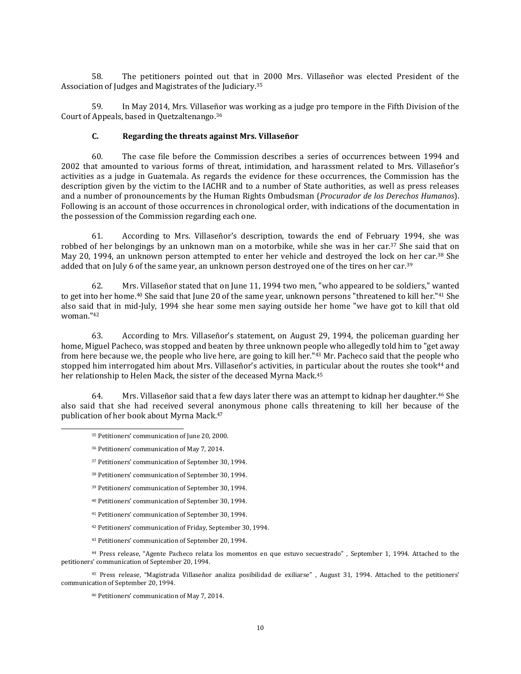58. The petitioners pointed out that in 2000 Mrs. Villaseñor was elected President of the Association of Judges and Magistrates of the Judiciary. 35

59. In May 2014, Mrs. Villaseñor was working as a judge pro tempore in the Fifth Division of the Court of Appeals, based in Quetzaltenango.<sup>36</sup>

#### **C. Regarding the threats against Mrs. Villaseñor**

60. The case file before the Commission describes a series of occurrences between 1994 and 2002 that amounted to various forms of threat, intimidation, and harassment related to Mrs. Villaseñor's activities as a judge in Guatemala. As regards the evidence for these occurrences, the Commission has the description given by the victim to the IACHR and to a number of State authorities, as well as press releases and a number of pronouncements by the Human Rights Ombudsman (*Procurador de los Derechos Humanos*). Following is an account of those occurrences in chronological order, with indications of the documentation in the possession of the Commission regarding each one.

61. According to Mrs. Villaseñor's description, towards the end of February 1994, she was robbed of her belongings by an unknown man on a motorbike, while she was in her car.<sup>37</sup> She said that on May 20, 1994, an unknown person attempted to enter her vehicle and destroyed the lock on her car.<sup>38</sup> She added that on July 6 of the same year, an unknown person destroyed one of the tires on her car.<sup>39</sup>

62. Mrs. Villaseñor stated that on June 11, 1994 two men, "who appeared to be soldiers," wanted to get into her home.<sup>40</sup> She said that June 20 of the same year, unknown persons "threatened to kill her."<sup>41</sup> She also said that in mid-July, 1994 she hear some men saying outside her home "we have got to kill that old  $woman$  "42

63. According to Mrs. Villaseñor's statement, on August 29, 1994, the policeman guarding her home, Miguel Pacheco, was stopped and beaten by three unknown people who allegedly told him to "get away from here because we, the people who live here, are going to kill her."<sup>43</sup> Mr. Pacheco said that the people who stopped him interrogated him about Mrs. Villaseñor's activities, in particular about the routes she took<sup>44</sup> and her relationship to Helen Mack, the sister of the deceased Myrna Mack.<sup>45</sup>

64. Mrs. Villaseñor said that a few days later there was an attempt to kidnap her daughter.<sup>46</sup> She also said that she had received several anonymous phone calls threatening to kill her because of the publication of her book about Myrna Mack.<sup>47</sup>

 $\overline{\phantom{a}}$ 

- <sup>38</sup> Petitioners' communication of September 30, 1994.
- <sup>39</sup> Petitioners' communication of September 30, 1994.
- <sup>40</sup> Petitioners' communication of September 30, 1994.
- <sup>41</sup> Petitioners' communication of September 30, 1994.
- <sup>42</sup> Petitioners' communication of Friday, September 30, 1994.

<sup>43</sup> Petitioners' communication of September 20, 1994.

<sup>44</sup> Press release, "Agente Pacheco relata los momentos en que estuvo secuestrado" , September 1, 1994. Attached to the petitioners' communication of September 20, 1994.

<sup>45</sup> Press release, "Magistrada Villaseñor analiza posibilidad de exiliarse" , August 31, 1994. Attached to the petitioners' communication of September 20, 1994.

<sup>46</sup> Petitioners' communication of May 7, 2014.

<sup>35</sup> Petitioners' communication of June 20, 2000.

<sup>36</sup> Petitioners' communication of May 7, 2014.

<sup>37</sup> Petitioners' communication of September 30, 1994.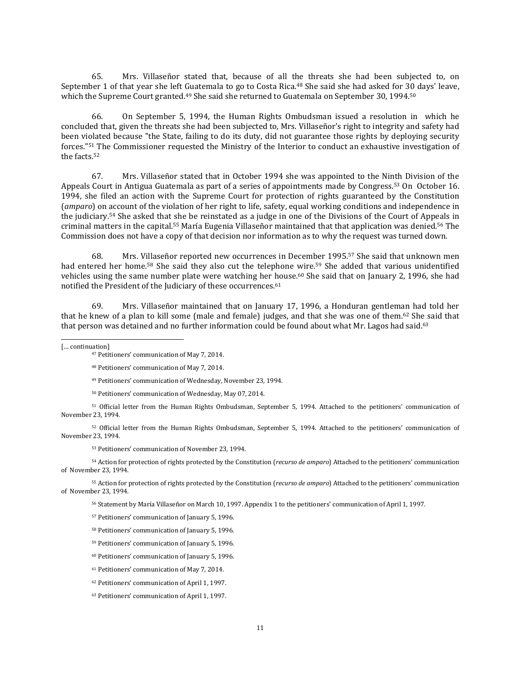65. Mrs. Villaseñor stated that, because of all the threats she had been subjected to, on September 1 of that year she left Guatemala to go to Costa Rica.<sup>48</sup> She said she had asked for 30 days' leave, which the Supreme Court granted.<sup>49</sup> She said she returned to Guatemala on September 30, 1994.<sup>50</sup>

66. On September 5, 1994, the Human Rights Ombudsman issued a resolution in which he concluded that, given the threats she had been subjected to, Mrs. Villaseñor's right to integrity and safety had been violated because "the State, failing to do its duty, did not guarantee those rights by deploying security forces."<sup>51</sup> The Commissioner requested the Ministry of the Interior to conduct an exhaustive investigation of the facts.<sup>52</sup>

67. Mrs. Villaseñor stated that in October 1994 she was appointed to the Ninth Division of the Appeals Court in Antigua Guatemala as part of a series of appointments made by Congress.<sup>53</sup> On October 16. 1994, she filed an action with the Supreme Court for protection of rights guaranteed by the Constitution (*amparo*) on account of the violation of her right to life, safety, equal working conditions and independence in the judiciary.<sup>54</sup> She asked that she be reinstated as a judge in one of the Divisions of the Court of Appeals in criminal matters in the capital.<sup>55</sup> María Eugenia Villaseñor maintained that that application was denied.<sup>56</sup> The Commission does not have a copy of that decision nor information as to why the request was turned down.

68. Mrs. Villaseñor reported new occurrences in December 1995.<sup>57</sup> She said that unknown men had entered her home.<sup>58</sup> She said they also cut the telephone wire.<sup>59</sup> She added that various unidentified vehicles using the same number plate were watching her house.<sup>60</sup> She said that on January 2, 1996, she had notified the President of the Judiciary of these occurrences.<sup>61</sup>

69. Mrs. Villaseñor maintained that on January 17, 1996, a Honduran gentleman had told her that he knew of a plan to kill some (male and female) judges, and that she was one of them.<sup>62</sup> She said that that person was detained and no further information could be found about what Mr. Lagos had said.<sup>63</sup>

 $\overline{\phantom{a}}$ [... continuation]

<sup>49</sup> Petitioners' communication of Wednesday, November 23, 1994.

<sup>50</sup> Petitioners' communication of Wednesday, May 07, 2014.

<sup>51</sup> Official letter from the Human Rights Ombudsman, September 5, 1994. Attached to the petitioners' communication of November 23, 1994.

<sup>52</sup> Official letter from the Human Rights Ombudsman, September 5, 1994. Attached to the petitioners' communication of November 23, 1994.

<sup>53</sup> Petitioners' communication of November 23, 1994.

<sup>54</sup> Action for protection of rights protected by the Constitution (*recurso de amparo*) Attached to the petitioners' communication of November 23, 1994.

<sup>55</sup> Action for protection of rights protected by the Constitution (*recurso de amparo*) Attached to the petitioners' communication of November 23, 1994.

<sup>56</sup> Statement by María Villaseñor on March 10, 1997. Appendix 1 to the petitioners' communication of April 1, 1997.

<sup>57</sup> Petitioners' communication of January 5, 1996.

- <sup>58</sup> Petitioners' communication of January 5, 1996.
- <sup>59</sup> Petitioners' communication of January 5, 1996.
- <sup>60</sup> Petitioners' communication of January 5, 1996.
- <sup>61</sup> Petitioners' communication of May 7, 2014.
- <sup>62</sup> Petitioners' communication of April 1, 1997.
- <sup>63</sup> Petitioners' communication of April 1, 1997.

<sup>47</sup> Petitioners' communication of May 7, 2014.

<sup>48</sup> Petitioners' communication of May 7, 2014.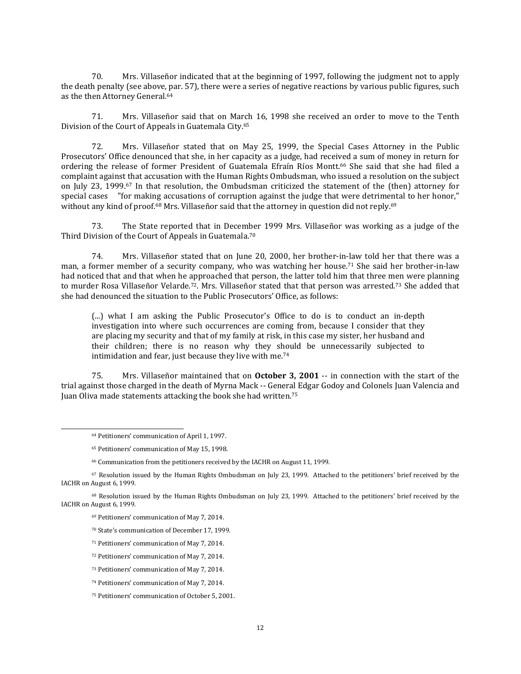70. Mrs. Villaseñor indicated that at the beginning of 1997, following the judgment not to apply the death penalty (see above, par. 57), there were a series of negative reactions by various public figures, such as the then Attorney General.<sup>64</sup>

71. Mrs. Villaseñor said that on March 16, 1998 she received an order to move to the Tenth Division of the Court of Appeals in Guatemala City.<sup>65</sup>

72. Mrs. Villaseñor stated that on May 25, 1999, the Special Cases Attorney in the Public Prosecutors' Office denounced that she, in her capacity as a judge, had received a sum of money in return for ordering the release of former President of Guatemala Efraín Ríos Montt.<sup>66</sup> She said that she had filed a complaint against that accusation with the Human Rights Ombudsman, who issued a resolution on the subject on July 23, 1999.<sup>67</sup> In that resolution, the Ombudsman criticized the statement of the (then) attorney for special cases "for making accusations of corruption against the judge that were detrimental to her honor," without any kind of proof.<sup>68</sup> Mrs. Villaseñor said that the attorney in question did not reply.<sup>69</sup>

73. The State reported that in December 1999 Mrs. Villaseñor was working as a judge of the Third Division of the Court of Appeals in Guatemala.<sup>70</sup>

74. Mrs. Villaseñor stated that on June 20, 2000, her brother-in-law told her that there was a man, a former member of a security company, who was watching her house.<sup>71</sup> She said her brother-in-law had noticed that and that when he approached that person, the latter told him that three men were planning to murder Rosa Villaseñor Velarde.<sup>72</sup>. Mrs. Villaseñor stated that that person was arrested.<sup>73</sup> She added that she had denounced the situation to the Public Prosecutors' Office, as follows:

(...) what I am asking the Public Prosecutor's Office to do is to conduct an in-depth investigation into where such occurrences are coming from, because I consider that they are placing my security and that of my family at risk, in this case my sister, her husband and their children; there is no reason why they should be unnecessarily subjected to intimidation and fear, just because they live with me.<sup>74</sup>

75. Mrs. Villaseñor maintained that on **October 3, 2001** -- in connection with the start of the trial against those charged in the death of Myrna Mack -- General Edgar Godoy and Colonels Juan Valencia and Juan Oliva made statements attacking the book she had written.<sup>75</sup>

- <sup>70</sup> State's communication of December 17, 1999.
- <sup>71</sup> Petitioners' communication of May 7, 2014.
- <sup>72</sup> Petitioners' communication of May 7, 2014.
- <sup>73</sup> Petitioners' communication of May 7, 2014.
- <sup>74</sup> Petitioners' communication of May 7, 2014.
- <sup>75</sup> Petitioners' communication of October 5, 2001.

<sup>64</sup> Petitioners' communication of April 1, 1997.

<sup>65</sup> Petitioners' communication of May 15, 1998.

<sup>66</sup> Communication from the petitioners received by the IACHR on August 11, 1999.

<sup>67</sup> Resolution issued by the Human Rights Ombudsman on July 23, 1999. Attached to the petitioners' brief received by the IACHR on August 6, 1999.

<sup>68</sup> Resolution issued by the Human Rights Ombudsman on July 23, 1999. Attached to the petitioners' brief received by the IACHR on August 6, 1999.

<sup>69</sup> Petitioners' communication of May 7, 2014.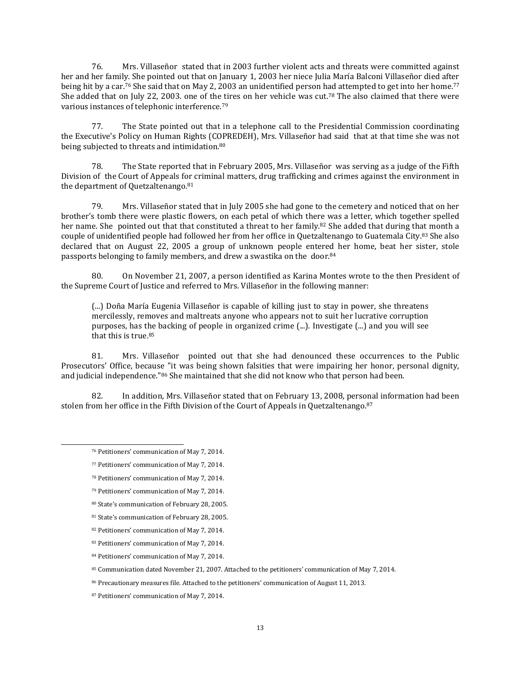76. Mrs. Villaseñor stated that in 2003 further violent acts and threats were committed against her and her family. She pointed out that on January 1, 2003 her niece Julia María Balconi Villaseñor died after being hit by a car.<sup>76</sup> She said that on May 2, 2003 an unidentified person had attempted to get into her home.<sup>77</sup> She added that on July 22, 2003. one of the tires on her vehicle was cut.<sup>78</sup> The also claimed that there were various instances of telephonic interference.<sup>79</sup>

77. The State pointed out that in a telephone call to the Presidential Commission coordinating the Executive's Policy on Human Rights (COPREDEH), Mrs. Villaseñor had said that at that time she was not being subjected to threats and intimidation.<sup>80</sup>

78. The State reported that in February 2005, Mrs. Villaseñor was serving as a judge of the Fifth Division of the Court of Appeals for criminal matters, drug trafficking and crimes against the environment in the department of Quetzaltenango.<sup>81</sup>

79. Mrs. Villaseñor stated that in July 2005 she had gone to the cemetery and noticed that on her brother's tomb there were plastic flowers, on each petal of which there was a letter, which together spelled her name. She pointed out that that constituted a threat to her family.<sup>82</sup> She added that during that month a couple of unidentified people had followed her from her office in Quetzaltenango to Guatemala City.<sup>83</sup> She also declared that on August 22, 2005 a group of unknown people entered her home, beat her sister, stole passports belonging to family members, and drew a swastika on the door.<sup>84</sup>

80. On November 21, 2007, a person identified as Karina Montes wrote to the then President of the Supreme Court of Justice and referred to Mrs. Villaseñor in the following manner:

(...) Doña María Eugenia Villaseñor is capable of killing just to stay in power, she threatens mercilessly, removes and maltreats anyone who appears not to suit her lucrative corruption purposes, has the backing of people in organized crime (...). Investigate (...) and you will see that this is true.<sup>85</sup>

81. Mrs. Villaseñor pointed out that she had denounced these occurrences to the Public Prosecutors' Office, because "it was being shown falsities that were impairing her honor, personal dignity, and judicial independence."<sup>86</sup> She maintained that she did not know who that person had been.

82. In addition, Mrs. Villaseñor stated that on February 13, 2008, personal information had been stolen from her office in the Fifth Division of the Court of Appeals in Quetzaltenango.<sup>87</sup>

- <sup>78</sup> Petitioners' communication of May 7, 2014.
- <sup>79</sup> Petitioners' communication of May 7, 2014.
- <sup>80</sup> State's communication of February 28, 2005.

<sup>76</sup> Petitioners' communication of May 7, 2014.

<sup>77</sup> Petitioners' communication of May 7, 2014.

<sup>81</sup> State's communication of February 28, 2005.

<sup>82</sup> Petitioners' communication of May 7, 2014.

<sup>83</sup> Petitioners' communication of May 7, 2014.

<sup>84</sup> Petitioners' communication of May 7, 2014.

<sup>85</sup> Communication dated November 21, 2007. Attached to the petitioners' communication of May 7, 2014.

<sup>86</sup> Precautionary measures file. Attached to the petitioners' communication of August 11, 2013.

<sup>87</sup> Petitioners' communication of May 7, 2014.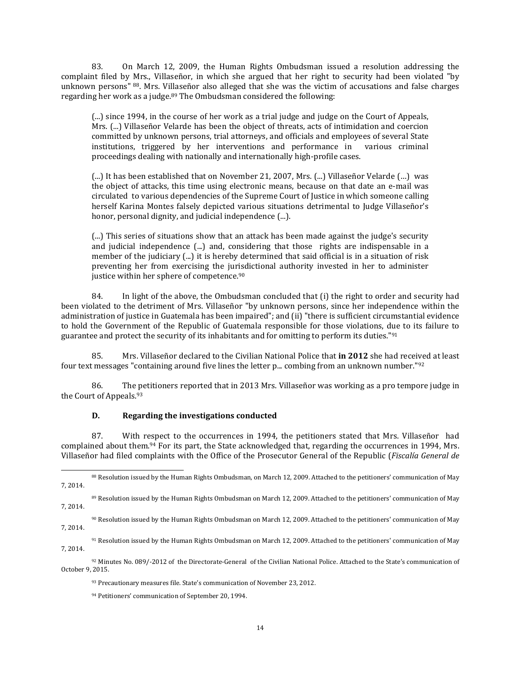83. On March 12, 2009, the Human Rights Ombudsman issued a resolution addressing the complaint filed by Mrs., Villaseñor, in which she argued that her right to security had been violated "by unknown persons" <sup>88</sup>. Mrs. Villaseñor also alleged that she was the victim of accusations and false charges regarding her work as a judge.<sup>89</sup> The Ombudsman considered the following:

(...) since 1994, in the course of her work as a trial judge and judge on the Court of Appeals, Mrs. (...) Villaseñor Velarde has been the object of threats, acts of intimidation and coercion committed by unknown persons, trial attorneys, and officials and employees of several State institutions, triggered by her interventions and performance in various criminal proceedings dealing with nationally and internationally high-profile cases.

(...) It has been established that on November 21, 2007, Mrs. (...) Villaseñor Velarde (…) was the object of attacks, this time using electronic means, because on that date an e-mail was circulated to various dependencies of the Supreme Court of Justice in which someone calling herself Karina Montes falsely depicted various situations detrimental to Judge Villaseñor's honor, personal dignity, and judicial independence (...).

(...) This series of situations show that an attack has been made against the judge's security and judicial independence (...) and, considering that those rights are indispensable in a member of the judiciary (...) it is hereby determined that said official is in a situation of risk preventing her from exercising the jurisdictional authority invested in her to administer justice within her sphere of competence.<sup>90</sup>

84. In light of the above, the Ombudsman concluded that (i) the right to order and security had been violated to the detriment of Mrs. Villaseñor "by unknown persons, since her independence within the administration of justice in Guatemala has been impaired"; and (ii) "there is sufficient circumstantial evidence to hold the Government of the Republic of Guatemala responsible for those violations, due to its failure to guarantee and protect the security of its inhabitants and for omitting to perform its duties."<sup>91</sup>

85. Mrs. Villaseñor declared to the Civilian National Police that **in 2012** she had received at least four text messages "containing around five lines the letter p... combing from an unknown number."<sup>92</sup>

86. The petitioners reported that in 2013 Mrs. Villaseñor was working as a pro tempore judge in the Court of Appeals.<sup>93</sup>

### **D. Regarding the investigations conducted**

 $\overline{\phantom{a}}$ 

87. With respect to the occurrences in 1994, the petitioners stated that Mrs. Villaseñor had complained about them.<sup>94</sup> For its part, the State acknowledged that, regarding the occurrences in 1994, Mrs. Villaseñor had filed complaints with the Office of the Prosecutor General of the Republic (*Fiscalía General de*

<sup>88</sup> Resolution issued by the Human Rights Ombudsman, on March 12, 2009. Attached to the petitioners' communication of May 7, 2014.

<sup>89</sup> Resolution issued by the Human Rights Ombudsman on March 12, 2009. Attached to the petitioners' communication of May 7, 2014.

<sup>90</sup> Resolution issued by the Human Rights Ombudsman on March 12, 2009. Attached to the petitioners' communication of May 7, 2014.

<sup>91</sup> Resolution issued by the Human Rights Ombudsman on March 12, 2009. Attached to the petitioners' communication of May 7, 2014.

<sup>92</sup> Minutes No. 089/-2012 of the Directorate-General of the Civilian National Police. Attached to the State's communication of October 9, 2015.

<sup>93</sup> Precautionary measures file. State's communication of November 23, 2012.

<sup>94</sup> Petitioners' communication of September 20, 1994.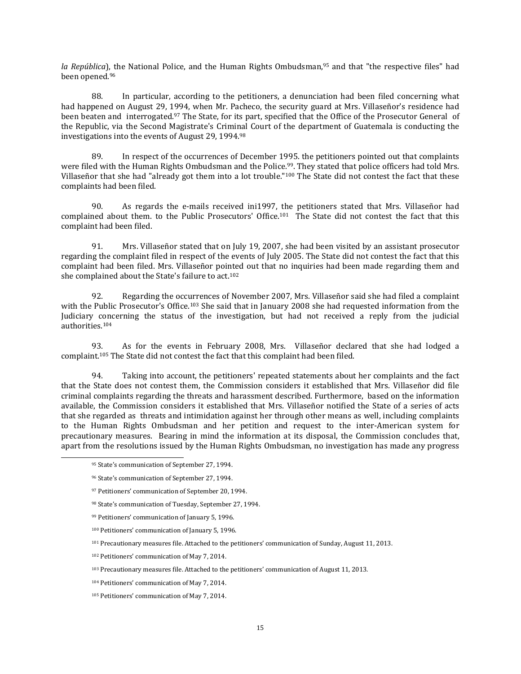*la República*), the National Police, and the Human Rights Ombudsman,<sup>95</sup> and that "the respective files" had been opened.<sup>96</sup>

88. In particular, according to the petitioners, a denunciation had been filed concerning what had happened on August 29, 1994, when Mr. Pacheco, the security guard at Mrs. Villaseñor's residence had been beaten and interrogated.<sup>97</sup> The State, for its part, specified that the Office of the Prosecutor General of the Republic, via the Second Magistrate's Criminal Court of the department of Guatemala is conducting the investigations into the events of August 29, 1994.<sup>98</sup>

89. In respect of the occurrences of December 1995. the petitioners pointed out that complaints were filed with the Human Rights Ombudsman and the Police.<sup>99</sup>. They stated that police officers had told Mrs. Villaseñor that she had "already got them into a lot trouble."<sup>100</sup> The State did not contest the fact that these complaints had been filed.

90. As regards the e-mails received ini1997, the petitioners stated that Mrs. Villaseñor had complained about them. to the Public Prosecutors' Office.<sup>101</sup> The State did not contest the fact that this complaint had been filed.

91. Mrs. Villaseñor stated that on July 19, 2007, she had been visited by an assistant prosecutor regarding the complaint filed in respect of the events of July 2005. The State did not contest the fact that this complaint had been filed. Mrs. Villaseñor pointed out that no inquiries had been made regarding them and she complained about the State's failure to act.<sup>102</sup>

92. Regarding the occurrences of November 2007, Mrs. Villaseñor said she had filed a complaint with the Public Prosecutor's Office.<sup>103</sup> She said that in January 2008 she had requested information from the Judiciary concerning the status of the investigation, but had not received a reply from the judicial authorities.<sup>104</sup>

93. As for the events in February 2008, Mrs. Villaseñor declared that she had lodged a complaint.<sup>105</sup> The State did not contest the fact that this complaint had been filed.

94. Taking into account, the petitioners' repeated statements about her complaints and the fact that the State does not contest them, the Commission considers it established that Mrs. Villaseñor did file criminal complaints regarding the threats and harassment described. Furthermore, based on the information available, the Commission considers it established that Mrs. Villaseñor notified the State of a series of acts that she regarded as threats and intimidation against her through other means as well, including complaints to the Human Rights Ombudsman and her petition and request to the inter-American system for precautionary measures. Bearing in mind the information at its disposal, the Commission concludes that, apart from the resolutions issued by the Human Rights Ombudsman, no investigation has made any progress

<sup>95</sup> State's communication of September 27, 1994.

<sup>96</sup> State's communication of September 27, 1994.

<sup>97</sup> Petitioners' communication of September 20, 1994.

<sup>98</sup> State's communication of Tuesday, September 27, 1994.

<sup>99</sup> Petitioners' communication of January 5, 1996.

<sup>100</sup> Petitioners' communication of January 5, 1996.

<sup>101</sup> Precautionary measures file. Attached to the petitioners' communication of Sunday, August 11, 2013.

<sup>102</sup> Petitioners' communication of May 7, 2014.

<sup>103</sup> Precautionary measures file. Attached to the petitioners' communication of August 11, 2013.

<sup>104</sup> Petitioners' communication of May 7, 2014.

<sup>105</sup> Petitioners' communication of May 7, 2014.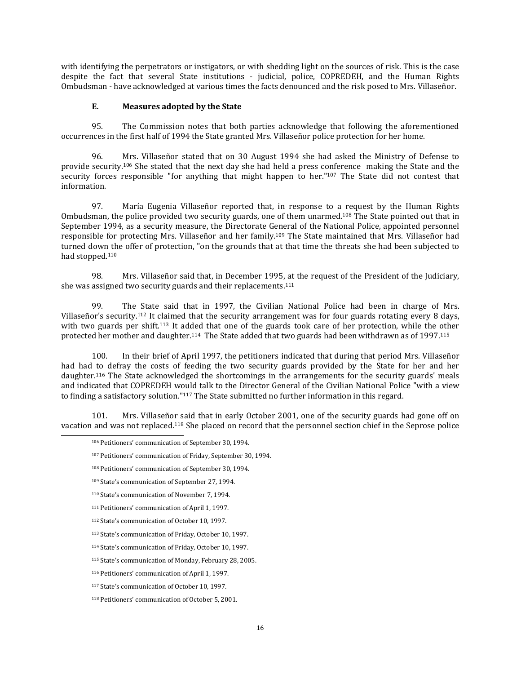with identifying the perpetrators or instigators, or with shedding light on the sources of risk. This is the case despite the fact that several State institutions - judicial, police, COPREDEH, and the Human Rights Ombudsman - have acknowledged at various times the facts denounced and the risk posed to Mrs. Villaseñor.

### **E. Measures adopted by the State**

95. The Commission notes that both parties acknowledge that following the aforementioned occurrences in the first half of 1994 the State granted Mrs. Villaseñor police protection for her home.

96. Mrs. Villaseñor stated that on 30 August 1994 she had asked the Ministry of Defense to provide security.<sup>106</sup> She stated that the next day she had held a press conference making the State and the security forces responsible "for anything that might happen to her."<sup>107</sup> The State did not contest that information.

97. María Eugenia Villaseñor reported that, in response to a request by the Human Rights Ombudsman, the police provided two security guards, one of them unarmed.<sup>108</sup> The State pointed out that in September 1994, as a security measure, the Directorate General of the National Police, appointed personnel responsible for protecting Mrs. Villaseñor and her family.<sup>109</sup> The State maintained that Mrs. Villaseñor had turned down the offer of protection, "on the grounds that at that time the threats she had been subjected to had stopped.<sup>110</sup>

98. Mrs. Villaseñor said that, in December 1995, at the request of the President of the Judiciary, she was assigned two security guards and their replacements.<sup>111</sup>

99. The State said that in 1997, the Civilian National Police had been in charge of Mrs. Villaseñor's security.<sup>112</sup> It claimed that the security arrangement was for four guards rotating every 8 days, with two guards per shift.<sup>113</sup> It added that one of the guards took care of her protection, while the other protected her mother and daughter.<sup>114</sup> The State added that two guards had been withdrawn as of 1997.<sup>115</sup>

100. In their brief of April 1997, the petitioners indicated that during that period Mrs. Villaseñor had had to defray the costs of feeding the two security guards provided by the State for her and her daughter.<sup>116</sup> The State acknowledged the shortcomings in the arrangements for the security guards' meals and indicated that COPREDEH would talk to the Director General of the Civilian National Police "with a view to finding a satisfactory solution."<sup>117</sup> The State submitted no further information in this regard.

101. Mrs. Villaseñor said that in early October 2001, one of the security guards had gone off on vacation and was not replaced.<sup>118</sup> She placed on record that the personnel section chief in the Seprose police

<sup>106</sup> Petitioners' communication of September 30, 1994.

<sup>107</sup> Petitioners' communication of Friday, September 30, 1994.

<sup>108</sup> Petitioners' communication of September 30, 1994.

<sup>109</sup> State's communication of September 27, 1994.

<sup>110</sup> State's communication of November 7, 1994.

<sup>111</sup> Petitioners' communication of April 1, 1997.

<sup>112</sup> State's communication of October 10, 1997.

<sup>113</sup> State's communication of Friday, October 10, 1997.

<sup>114</sup> State's communication of Friday, October 10, 1997.

<sup>115</sup> State's communication of Monday, February 28, 2005.

<sup>116</sup> Petitioners' communication of April 1, 1997.

<sup>117</sup> State's communication of October 10, 1997.

<sup>118</sup> Petitioners' communication of October 5, 2001.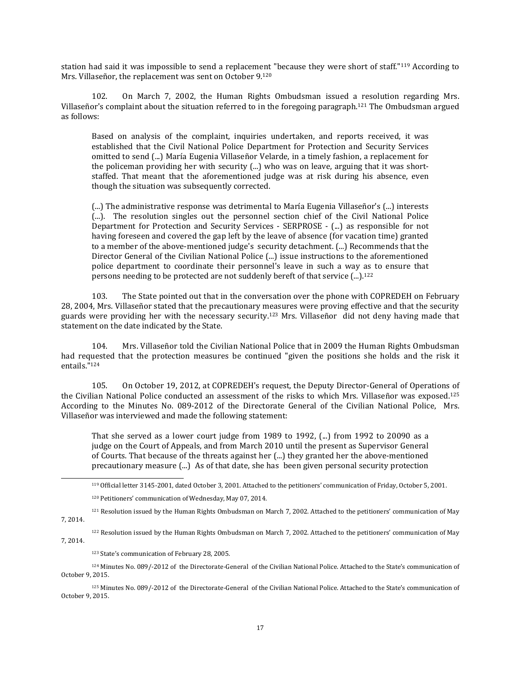station had said it was impossible to send a replacement "because they were short of staff."<sup>119</sup> According to Mrs. Villaseñor, the replacement was sent on October 9.<sup>120</sup>

102. On March 7, 2002, the Human Rights Ombudsman issued a resolution regarding Mrs. Villaseñor's complaint about the situation referred to in the foregoing paragraph.<sup>121</sup> The Ombudsman argued as follows:

Based on analysis of the complaint, inquiries undertaken, and reports received, it was established that the Civil National Police Department for Protection and Security Services omitted to send (...) María Eugenia Villaseñor Velarde, in a timely fashion, a replacement for the policeman providing her with security (...) who was on leave, arguing that it was shortstaffed. That meant that the aforementioned judge was at risk during his absence, even though the situation was subsequently corrected.

(...) The administrative response was detrimental to María Eugenia Villaseñor's (...) interests (...). The resolution singles out the personnel section chief of the Civil National Police Department for Protection and Security Services - SERPROSE - (...) as responsible for not having foreseen and covered the gap left by the leave of absence (for vacation time) granted to a member of the above-mentioned judge's security detachment. (...) Recommends that the Director General of the Civilian National Police (...) issue instructions to the aforementioned police department to coordinate their personnel's leave in such a way as to ensure that persons needing to be protected are not suddenly bereft of that service (...).<sup>122</sup>

103. The State pointed out that in the conversation over the phone with COPREDEH on February 28, 2004, Mrs. Villaseñor stated that the precautionary measures were proving effective and that the security guards were providing her with the necessary security.<sup>123</sup> Mrs. Villaseñor did not deny having made that statement on the date indicated by the State.

104. Mrs. Villaseñor told the Civilian National Police that in 2009 the Human Rights Ombudsman had requested that the protection measures be continued "given the positions she holds and the risk it entails."<sup>124</sup>

105. On October 19, 2012, at COPREDEH's request, the Deputy Director-General of Operations of the Civilian National Police conducted an assessment of the risks to which Mrs. Villaseñor was exposed.<sup>125</sup> According to the Minutes No. 089-2012 of the Directorate General of the Civilian National Police, Mrs. Villaseñor was interviewed and made the following statement:

That she served as a lower court judge from  $1989$  to  $1992$ , (...) from  $1992$  to  $20090$  as a judge on the Court of Appeals, and from March 2010 until the present as Supervisor General of Courts. That because of the threats against her (...) they granted her the above-mentioned precautionary measure (...) As of that date, she has been given personal security protection

<sup>119</sup> Official letter 3145-2001, dated October 3, 2001. Attached to the petitioners' communication of Friday, October 5, 2001.

<sup>122</sup> Resolution issued by the Human Rights Ombudsman on March 7, 2002. Attached to the petitioners' communication of May 7, 2014.

<sup>123</sup> State's communication of February 28, 2005.

 $\overline{\phantom{a}}$ 

<sup>124</sup> Minutes No. 089/-2012 of the Directorate-General of the Civilian National Police. Attached to the State's communication of October 9, 2015.

<sup>125</sup> Minutes No. 089/-2012 of the Directorate-General of the Civilian National Police. Attached to the State's communication of October 9, 2015.

<sup>120</sup> Petitioners' communication of Wednesday, May 07, 2014.

<sup>121</sup> Resolution issued by the Human Rights Ombudsman on March 7, 2002. Attached to the petitioners' communication of May 7, 2014.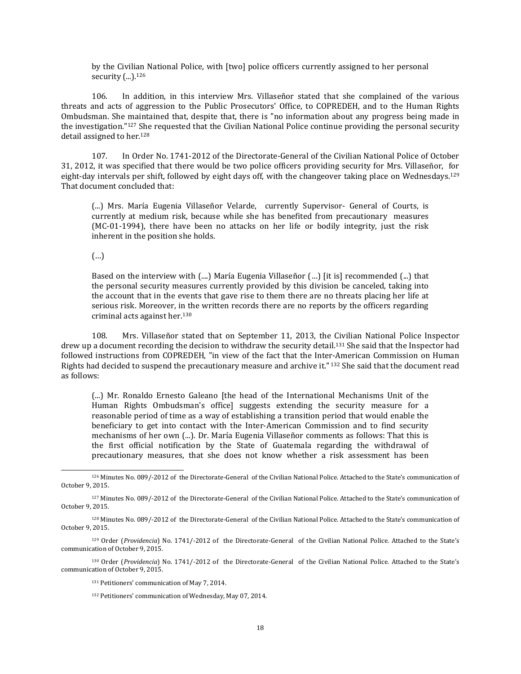by the Civilian National Police, with [two] police officers currently assigned to her personal security  $\binom{1}{2}$ . 126

106. In addition, in this interview Mrs. Villaseñor stated that she complained of the various threats and acts of aggression to the Public Prosecutors' Office, to COPREDEH, and to the Human Rights Ombudsman. She maintained that, despite that, there is "no information about any progress being made in the investigation."<sup>127</sup> She requested that the Civilian National Police continue providing the personal security detail assigned to her.<sup>128</sup>

107. In Order No. 1741-2012 of the Directorate-General of the Civilian National Police of October 31, 2012, it was specified that there would be two police officers providing security for Mrs. Villaseñor, for eight-day intervals per shift, followed by eight days off, with the changeover taking place on Wednesdays.<sup>129</sup> That document concluded that:

(...) Mrs. María Eugenia Villaseñor Velarde, currently Supervisor- General of Courts, is currently at medium risk, because while she has benefited from precautionary measures (MC-01-1994), there have been no attacks on her life or bodily integrity, just the risk inherent in the position she holds.

(…)

 $\overline{\phantom{a}}$ 

Based on the interview with (....) María Eugenia Villaseñor (…) [it is] recommended (...) that the personal security measures currently provided by this division be canceled, taking into the account that in the events that gave rise to them there are no threats placing her life at serious risk. Moreover, in the written records there are no reports by the officers regarding criminal acts against her.<sup>130</sup>

108. Mrs. Villaseñor stated that on September 11, 2013, the Civilian National Police Inspector drew up a document recording the decision to withdraw the security detail.<sup>131</sup> She said that the Inspector had followed instructions from COPREDEH, "in view of the fact that the Inter-American Commission on Human Rights had decided to suspend the precautionary measure and archive it." <sup>132</sup> She said that the document read as follows:

(...) Mr. Ronaldo Ernesto Galeano [the head of the International Mechanisms Unit of the Human Rights Ombudsman's office] suggests extending the security measure for a reasonable period of time as a way of establishing a transition period that would enable the beneficiary to get into contact with the Inter-American Commission and to find security mechanisms of her own (...). Dr. María Eugenia Villaseñor comments as follows: That this is the first official notification by the State of Guatemala regarding the withdrawal of precautionary measures, that she does not know whether a risk assessment has been

<sup>130</sup> Order (*Providencia*) No. 1741/-2012 of the Directorate-General of the Civilian National Police. Attached to the State's communication of October 9, 2015.

<sup>126</sup> Minutes No. 089/-2012 of the Directorate-General of the Civilian National Police. Attached to the State's communication of October 9, 2015.

<sup>127</sup> Minutes No. 089/-2012 of the Directorate-General of the Civilian National Police. Attached to the State's communication of October 9, 2015.

<sup>128</sup> Minutes No. 089/-2012 of the Directorate-General of the Civilian National Police. Attached to the State's communication of October 9, 2015.

<sup>129</sup> Order (*Providencia*) No. 1741/-2012 of the Directorate-General of the Civilian National Police. Attached to the State's communication of October 9, 2015.

<sup>131</sup> Petitioners' communication of May 7, 2014.

<sup>132</sup> Petitioners' communication of Wednesday, May 07, 2014.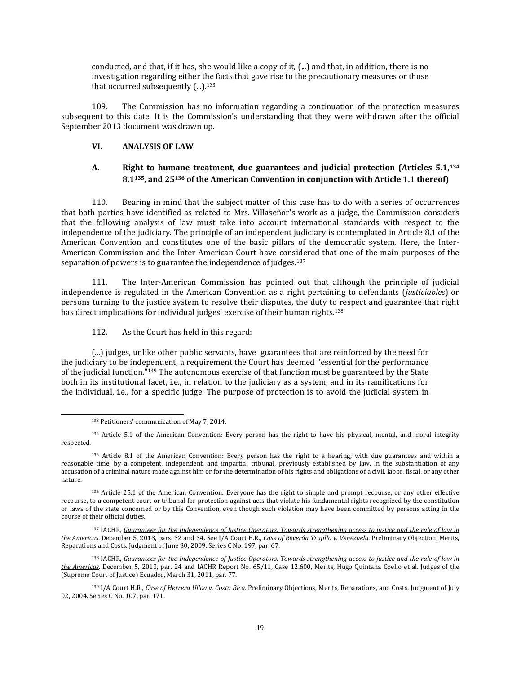conducted, and that, if it has, she would like a copy of it, (...) and that, in addition, there is no investigation regarding either the facts that gave rise to the precautionary measures or those that occurred subsequently  $(...)$ .<sup>133</sup>

109. The Commission has no information regarding a continuation of the protection measures subsequent to this date. It is the Commission's understanding that they were withdrawn after the official September 2013 document was drawn up.

### **VI. ANALYSIS OF LAW**

## **A. Right to humane treatment, due guarantees and judicial protection (Articles 5.1,<sup>134</sup> 8.1135, and 25<sup>136</sup> of the American Convention in conjunction with Article 1.1 thereof)**

110. Bearing in mind that the subject matter of this case has to do with a series of occurrences that both parties have identified as related to Mrs. Villaseñor's work as a judge, the Commission considers that the following analysis of law must take into account international standards with respect to the independence of the judiciary. The principle of an independent judiciary is contemplated in Article 8.1 of the American Convention and constitutes one of the basic pillars of the democratic system. Here, the Inter-American Commission and the Inter-American Court have considered that one of the main purposes of the separation of powers is to guarantee the independence of judges.<sup>137</sup>

111. The Inter-American Commission has pointed out that although the principle of judicial independence is regulated in the American Convention as a right pertaining to defendants (*justiciables*) or persons turning to the justice system to resolve their disputes, the duty to respect and guarantee that right has direct implications for individual judges' exercise of their human rights.<sup>138</sup>

112. As the Court has held in this regard:

(...) judges, unlike other public servants, have guarantees that are reinforced by the need for the judiciary to be independent, a requirement the Court has deemed "essential for the performance of the judicial function."<sup>139</sup> The autonomous exercise of that function must be guaranteed by the State both in its institutional facet, i.e., in relation to the judiciary as a system, and in its ramifications for the individual, i.e., for a specific judge. The purpose of protection is to avoid the judicial system in

<sup>133</sup> Petitioners' communication of May 7, 2014.

<sup>134</sup> Article 5.1 of the American Convention: Every person has the right to have his physical, mental, and moral integrity respected.

<sup>135</sup> Article 8.1 of the American Convention: Every person has the right to a hearing, with due guarantees and within a reasonable time, by a competent, independent, and impartial tribunal, previously established by law, in the substantiation of any accusation of a criminal nature made against him or for the determination of his rights and obligations of a civil, labor, fiscal, or any other nature.

<sup>136</sup> Article 25.1 of the American Convention: Everyone has the right to simple and prompt recourse, or any other effective recourse, to a competent court or tribunal for protection against acts that violate his fundamental rights recognized by the constitution or laws of the state concerned or by this Convention, even though such violation may have been committed by persons acting in the course of their official duties.

<sup>137</sup> IACHR, Guarantees for the Independence of Justice Operators. Towards [strengthening](http://www.oas.org/es/cidh/defensores/docs/pdf/Justice-Operators-2013.pdf) access to justice and the rule of law in *the [Americas](http://www.oas.org/es/cidh/defensores/docs/pdf/Justice-Operators-2013.pdf)*. December 5, 2013, pars. 32 and 34. See I/A Court H.R., *Case of Reverón Trujillo v. Venezuela*. Preliminary Objection, Merits, Reparations and Costs. Judgment of June 30, 2009. Series C No. 197, par. 67.

<sup>138</sup> IACHR, Guarantees for the Independence of Justice Operators. Towards [strengthening](http://www.oas.org/es/cidh/defensores/docs/pdf/Justice-Operators-2013.pdf) access to justice and the rule of law in *the [Americas](http://www.oas.org/es/cidh/defensores/docs/pdf/Justice-Operators-2013.pdf)*. December 5, 2013, par. 24 and IACHR Report No. 65/11, Case 12.600, Merits, Hugo Quintana Coello et al. Judges of the (Supreme Court of Justice) Ecuador, March 31, 2011, par. 77.

<sup>139</sup> I/A Court H.R., *Case of Herrera Ulloa v. Costa Rica*. Preliminary Objections, Merits, Reparations, and Costs. Judgment of July 02, 2004. Series C No. 107, par. 171.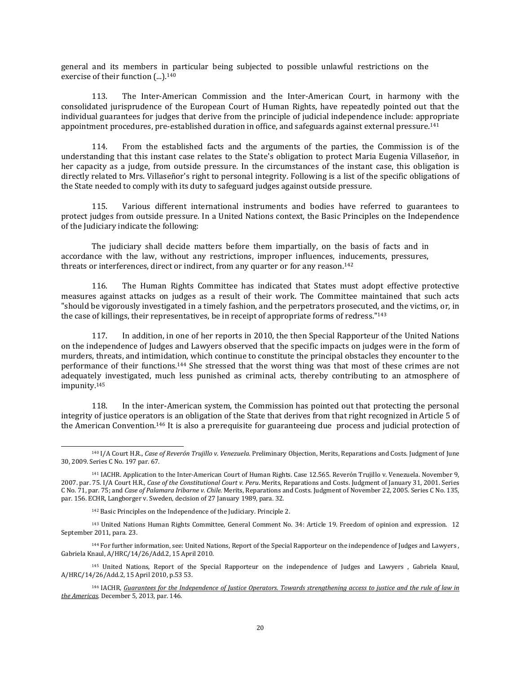general and its members in particular being subjected to possible unlawful restrictions on the exercise of their function (...).<sup>140</sup>

113. The Inter-American Commission and the Inter-American Court, in harmony with the consolidated jurisprudence of the European Court of Human Rights, have repeatedly pointed out that the individual guarantees for judges that derive from the principle of judicial independence include: appropriate appointment procedures, pre-established duration in office, and safeguards against external pressure.<sup>141</sup>

114. From the established facts and the arguments of the parties, the Commission is of the understanding that this instant case relates to the State's obligation to protect Maria Eugenia Villaseñor, in her capacity as a judge, from outside pressure. In the circumstances of the instant case, this obligation is directly related to Mrs. Villaseñor's right to personal integrity. Following is a list of the specific obligations of the State needed to comply with its duty to safeguard judges against outside pressure.

115. Various different international instruments and bodies have referred to guarantees to protect judges from outside pressure. In a United Nations context, the Basic Principles on the Independence of the Judiciary indicate the following:

The judiciary shall decide matters before them impartially, on the basis of facts and in accordance with the law, without any restrictions, improper influences, inducements, pressures, threats or interferences, direct or indirect, from any quarter or for any reason.<sup>142</sup>

116. The Human Rights Committee has indicated that States must adopt effective protective measures against attacks on judges as a result of their work. The Committee maintained that such acts "should be vigorously investigated in a timely fashion, and the perpetrators prosecuted, and the victims, or, in the case of killings, their representatives, be in receipt of appropriate forms of redress."<sup>143</sup>

117. In addition, in one of her reports in 2010, the then Special Rapporteur of the United Nations on the independence of Judges and Lawyers observed that the specific impacts on judges were in the form of murders, threats, and intimidation, which continue to constitute the principal obstacles they encounter to the performance of their functions.<sup>144</sup> She stressed that the worst thing was that most of these crimes are not adequately investigated, much less punished as criminal acts, thereby contributing to an atmosphere of impunity.<sup>145</sup>

118. In the inter-American system, the Commission has pointed out that protecting the personal integrity of justice operators is an obligation of the State that derives from that right recognized in Article 5 of the American Convention.<sup>146</sup> It is also a prerequisite for guaranteeing due process and judicial protection of

<sup>140</sup> I/A Court H.R., *Case of Reverón Trujillo v. Venezuela*. Preliminary Objection, Merits, Reparations and Costs. Judgment of June 30, 2009. Series C No. 197 par. 67.

<sup>141</sup> IACHR. Application to the Inter-American Court of Human Rights. Case 12.565. Reverón Trujillo v. Venezuela. November 9, 2007. par. 75. I/A Court H.R., *Case of the Constitutional Court v. Peru*. Merits, Reparations and Costs. Judgment of January 31, 2001. Series C No. 71, par. 75; and *Case of Palamara Iribarne v. Chile*. Merits, Reparations and Costs. Judgment of November 22, 2005. Series C No. 135, par. 156. ECHR, Langborger v. Sweden, decision of 27 January 1989, para. 32.

<sup>142</sup> Basic Principles on the Independence of the Judiciary. Principle 2.

<sup>143</sup> United Nations Human Rights Committee, General Comment No. 34: Article 19. Freedom of opinion and expression. 12 September 2011, para. 23.

<sup>144</sup> For further information, see: United Nations, Report of the Special Rapporteur on the independence of Judges and Lawyers , Gabriela Knaul, A/HRC/14/26/Add.2, 15 April 2010.

<sup>145</sup> United Nations, Report of the Special Rapporteur on the independence of Judges and Lawyers , Gabriela Knaul, A/HRC/14/26/Add.2, 15 April 2010, p.53 53.

<sup>&</sup>lt;sup>146</sup> IACHR, Guarantees for the Independence of lustice Operators. Towards strenathening access to justice and the rule of law in *the [Americas](http://www.oas.org/es/cidh/defensores/docs/pdf/Justice-Operators-2013.pdf)*. December 5, 2013, par. 146.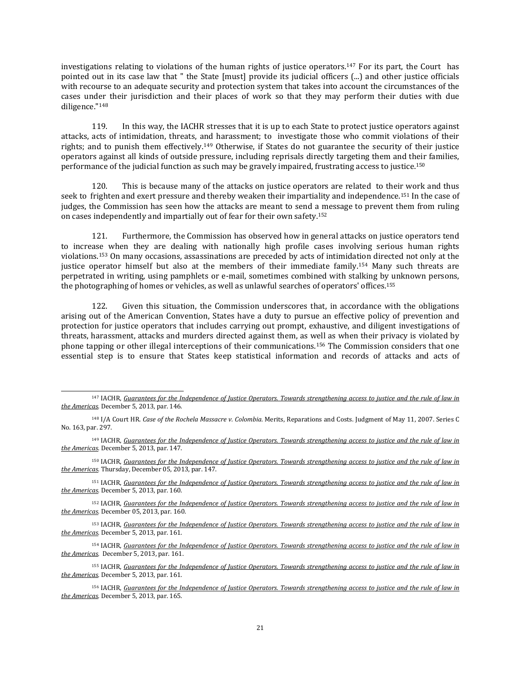investigations relating to violations of the human rights of justice operators.<sup>147</sup> For its part, the Court has pointed out in its case law that " the State [must] provide its judicial officers (...) and other justice officials with recourse to an adequate security and protection system that takes into account the circumstances of the cases under their jurisdiction and their places of work so that they may perform their duties with due diligence."<sup>148</sup>

119. In this way, the IACHR stresses that it is up to each State to protect justice operators against attacks, acts of intimidation, threats, and harassment; to investigate those who commit violations of their rights; and to punish them effectively.<sup>149</sup> Otherwise, if States do not guarantee the security of their justice operators against all kinds of outside pressure, including reprisals directly targeting them and their families, performance of the judicial function as such may be gravely impaired, frustrating access to justice.<sup>150</sup>

120. This is because many of the attacks on justice operators are related to their work and thus seek to frighten and exert pressure and thereby weaken their impartiality and independence.<sup>151</sup> In the case of judges, the Commission has seen how the attacks are meant to send a message to prevent them from ruling on cases independently and impartially out of fear for their own safety.<sup>152</sup>

121. Furthermore, the Commission has observed how in general attacks on justice operators tend to increase when they are dealing with nationally high profile cases involving serious human rights violations.<sup>153</sup> On many occasions, assassinations are preceded by acts of intimidation directed not only at the justice operator himself but also at the members of their immediate family.<sup>154</sup> Many such threats are perpetrated in writing, using pamphlets or e-mail, sometimes combined with stalking by unknown persons, the photographing of homes or vehicles, as well as unlawful searches of operators' offices.<sup>155</sup>

122. Given this situation, the Commission underscores that, in accordance with the obligations arising out of the American Convention, States have a duty to pursue an effective policy of prevention and protection for justice operators that includes carrying out prompt, exhaustive, and diligent investigations of threats, harassment, attacks and murders directed against them, as well as when their privacy is violated by phone tapping or other illegal interceptions of their communications.<sup>156</sup> The Commission considers that one essential step is to ensure that States keep statistical information and records of attacks and acts of

 $\overline{\phantom{a}}$ 

<sup>149</sup> IACHR, Guarantees for the Independence of Justice Operators. Towards [strengthening](http://www.oas.org/es/cidh/defensores/docs/pdf/Justice-Operators-2013.pdf) access to justice and the rule of law in *the [Americas](http://www.oas.org/es/cidh/defensores/docs/pdf/Justice-Operators-2013.pdf)*. December 5, 2013, par. 147.

<sup>150</sup> IACHR, Guarantees for the Independence of Justice Operators. Towards [strengthening](http://www.oas.org/es/cidh/defensores/docs/pdf/Justice-Operators-2013.pdf) access to justice and the rule of law in *the [Americas](http://www.oas.org/es/cidh/defensores/docs/pdf/Justice-Operators-2013.pdf)*. Thursday, December 05, 2013, par. 147.

151 IACHR, Guarantees for the Independence of Justice Operators. Towards [strengthening](http://www.oas.org/es/cidh/defensores/docs/pdf/Justice-Operators-2013.pdf) access to justice and the rule of law in *the [Americas](http://www.oas.org/es/cidh/defensores/docs/pdf/Justice-Operators-2013.pdf)*. December 5, 2013, par. 160.

<sup>152</sup> IACHR, Guarantees for the Independence of Justice Operators. Towards [strengthening](http://www.oas.org/es/cidh/defensores/docs/pdf/Justice-Operators-2013.pdf) access to justice and the rule of law in *the [Americas](http://www.oas.org/es/cidh/defensores/docs/pdf/Justice-Operators-2013.pdf)*. December 05, 2013, par. 160.

153 IACHR, Guarantees for the Independence of Justice Operators. Towards [strengthening](http://www.oas.org/es/cidh/defensores/docs/pdf/Justice-Operators-2013.pdf) access to justice and the rule of law in *the [Americas](http://www.oas.org/es/cidh/defensores/docs/pdf/Justice-Operators-2013.pdf)*. December 5, 2013, par. 161.

<sup>154</sup> IACHR, Guarantees for the Independence of Justice Operators. Towards [strengthening](http://www.oas.org/es/cidh/defensores/docs/pdf/Justice-Operators-2013.pdf) access to justice and the rule of law in *the [Americas](http://www.oas.org/es/cidh/defensores/docs/pdf/Justice-Operators-2013.pdf)*. December 5, 2013, par. 161.

155 IACHR, Guarantees for the Independence of Justice Operators. Towards [strengthening](http://www.oas.org/es/cidh/defensores/docs/pdf/Justice-Operators-2013.pdf) access to justice and the rule of law in *the [Americas](http://www.oas.org/es/cidh/defensores/docs/pdf/Justice-Operators-2013.pdf)*. December 5, 2013, par. 161.

<sup>&</sup>lt;sup>147</sup> IACHR, Guarantees for the Independence of Justice Operators. Towards [strengthening](http://www.oas.org/es/cidh/defensores/docs/pdf/Justice-Operators-2013.pdf) access to justice and the rule of law in *the [Americas](http://www.oas.org/es/cidh/defensores/docs/pdf/Justice-Operators-2013.pdf)*. December 5, 2013, par. 146.

<sup>148</sup> I/A Court HR. *Case of the Rochela Massacre v. Colombia*. Merits, Reparations and Costs. Judgment of May 11, 2007. Series C No. 163, par. 297.

<sup>&</sup>lt;sup>156</sup> IACHR, Guarantees for the Independence of Justice Operators. Towards [strengthening](http://www.oas.org/es/cidh/defensores/docs/pdf/Justice-Operators-2013.pdf) access to justice and the rule of law in *the [Americas](http://www.oas.org/es/cidh/defensores/docs/pdf/Justice-Operators-2013.pdf)*. December 5, 2013, par. 165.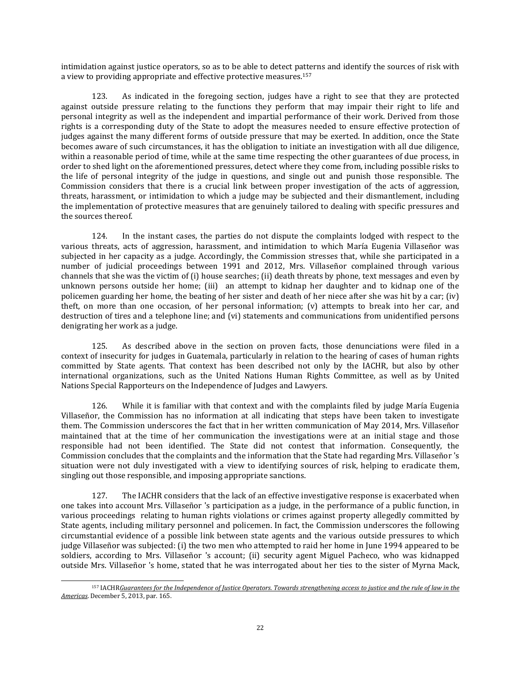intimidation against justice operators, so as to be able to detect patterns and identify the sources of risk with a view to providing appropriate and effective protective measures.<sup>157</sup>

123. As indicated in the foregoing section, judges have a right to see that they are protected against outside pressure relating to the functions they perform that may impair their right to life and personal integrity as well as the independent and impartial performance of their work. Derived from those rights is a corresponding duty of the State to adopt the measures needed to ensure effective protection of judges against the many different forms of outside pressure that may be exerted. In addition, once the State becomes aware of such circumstances, it has the obligation to initiate an investigation with all due diligence, within a reasonable period of time, while at the same time respecting the other guarantees of due process, in order to shed light on the aforementioned pressures, detect where they come from, including possible risks to the life of personal integrity of the judge in questions, and single out and punish those responsible. The Commission considers that there is a crucial link between proper investigation of the acts of aggression, threats, harassment, or intimidation to which a judge may be subjected and their dismantlement, including the implementation of protective measures that are genuinely tailored to dealing with specific pressures and the sources thereof.

124. In the instant cases, the parties do not dispute the complaints lodged with respect to the various threats, acts of aggression, harassment, and intimidation to which María Eugenia Villaseñor was subjected in her capacity as a judge. Accordingly, the Commission stresses that, while she participated in a number of judicial proceedings between 1991 and 2012, Mrs. Villaseñor complained through various channels that she was the victim of (i) house searches; (ii) death threats by phone, text messages and even by unknown persons outside her home; (iii) an attempt to kidnap her daughter and to kidnap one of the policemen guarding her home, the beating of her sister and death of her niece after she was hit by a car; (iv) theft, on more than one occasion, of her personal information; (v) attempts to break into her car, and destruction of tires and a telephone line; and (vi) statements and communications from unidentified persons denigrating her work as a judge.

125. As described above in the section on proven facts, those denunciations were filed in a context of insecurity for judges in Guatemala, particularly in relation to the hearing of cases of human rights committed by State agents. That context has been described not only by the IACHR, but also by other international organizations, such as the United Nations Human Rights Committee, as well as by United Nations Special Rapporteurs on the Independence of Judges and Lawyers.

126. While it is familiar with that context and with the complaints filed by judge María Eugenia Villaseñor, the Commission has no information at all indicating that steps have been taken to investigate them. The Commission underscores the fact that in her written communication of May 2014, Mrs. Villaseñor maintained that at the time of her communication the investigations were at an initial stage and those responsible had not been identified. The State did not contest that information. Consequently, the Commission concludes that the complaints and the information that the State had regarding Mrs. Villaseñor 's situation were not duly investigated with a view to identifying sources of risk, helping to eradicate them, singling out those responsible, and imposing appropriate sanctions.

127. The IACHR considers that the lack of an effective investigative response is exacerbated when one takes into account Mrs. Villaseñor 's participation as a judge, in the performance of a public function, in various proceedings relating to human rights violations or crimes against property allegedly committed by State agents, including military personnel and policemen. In fact, the Commission underscores the following circumstantial evidence of a possible link between state agents and the various outside pressures to which judge Villaseñor was subjected: (i) the two men who attempted to raid her home in June 1994 appeared to be soldiers, according to Mrs. Villaseñor 's account; (ii) security agent Miguel Pacheco, who was kidnapped outside Mrs. Villaseñor 's home, stated that he was interrogated about her ties to the sister of Myrna Mack,

<sup>157</sup> IACHRGuarantees for the Independence of lustice Operators. Towards strenathening access to justice and the rule of law in the *[Americas](http://www.oas.org/es/cidh/defensores/docs/pdf/Justice-Operators-2013.pdf)*. December 5, 2013, par. 165.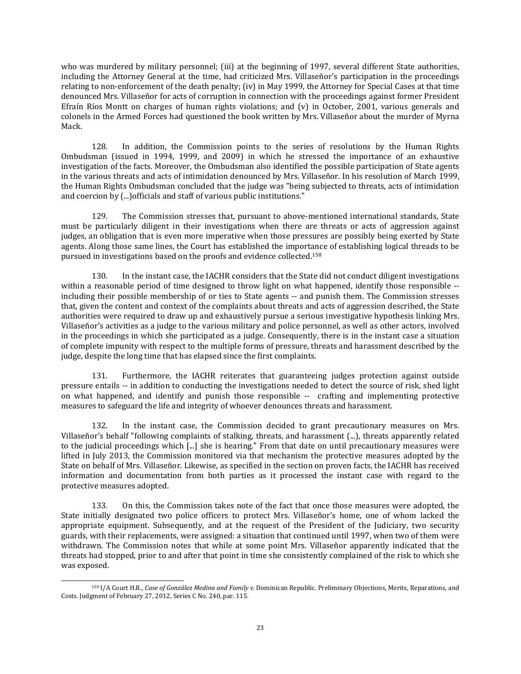who was murdered by military personnel; (iii) at the beginning of 1997, several different State authorities, including the Attorney General at the time, had criticized Mrs. Villaseñor's participation in the proceedings relating to non-enforcement of the death penalty; (iv) in May 1999, the Attorney for Special Cases at that time denounced Mrs. Villaseñor for acts of corruption in connection with the proceedings against former President Efraín Ríos Montt on charges of human rights violations; and (v) in October, 2001, various generals and colonels in the Armed Forces had questioned the book written by Mrs. Villaseñor about the murder of Myrna Mack.

128. In addition, the Commission points to the series of resolutions by the Human Rights Ombudsman (issued in 1994, 1999, and 2009) in which he stressed the importance of an exhaustive investigation of the facts. Moreover, the Ombudsman also identified the possible participation of State agents in the various threats and acts of intimidation denounced by Mrs. Villaseñor. In his resolution of March 1999, the Human Rights Ombudsman concluded that the judge was "being subjected to threats, acts of intimidation and coercion by (...)officials and staff of various public institutions."

129. The Commission stresses that, pursuant to above-mentioned international standards, State must be particularly diligent in their investigations when there are threats or acts of aggression against judges, an obligation that is even more imperative when those pressures are possibly being exerted by State agents. Along those same lines, the Court has established the importance of establishing logical threads to be pursued in investigations based on the proofs and evidence collected.<sup>158</sup>

130. In the instant case, the IACHR considers that the State did not conduct diligent investigations within a reasonable period of time designed to throw light on what happened, identify those responsible - including their possible membership of or ties to State agents -- and punish them. The Commission stresses that, given the content and context of the complaints about threats and acts of aggression described, the State authorities were required to draw up and exhaustively pursue a serious investigative hypothesis linking Mrs. Villaseñor's activities as a judge to the various military and police personnel, as well as other actors, involved in the proceedings in which she participated as a judge. Consequently, there is in the instant case a situation of complete impunity with respect to the multiple forms of pressure, threats and harassment described by the judge, despite the long time that has elapsed since the first complaints.

131. Furthermore, the IACHR reiterates that guaranteeing judges protection against outside pressure entails -- in addition to conducting the investigations needed to detect the source of risk, shed light on what happened, and identify and punish those responsible -- crafting and implementing protective measures to safeguard the life and integrity of whoever denounces threats and harassment.

132. In the instant case, the Commission decided to grant precautionary measures on Mrs. Villaseñor's behalf "following complaints of stalking, threats, and harassment (...), threats apparently related to the judicial proceedings which [...] she is hearing." From that date on until precautionary measures were lifted in July 2013, the Commission monitored via that mechanism the protective measures adopted by the State on behalf of Mrs. Villaseñor. Likewise, as specified in the section on proven facts, the IACHR has received information and documentation from both parties as it processed the instant case with regard to the protective measures adopted.

133. On this, the Commission takes note of the fact that once those measures were adopted, the State initially designated two police officers to protect Mrs. Villaseñor's home, one of whom lacked the appropriate equipment. Subsequently, and at the request of the President of the Judiciary, two security guards, with their replacements, were assigned: a situation that continued until 1997, when two of them were withdrawn. The Commission notes that while at some point Mrs. Villaseñor apparently indicated that the threats had stopped, prior to and after that point in time she consistently complained of the risk to which she was exposed.

 $\overline{\phantom{a}}$ <sup>158</sup> I/A Court H.R., *Case of [González](http://joomla.corteidh.or.cr:8080/joomla/es/casos-contenciosos/38-jurisprudencia/1572-corte-idh-caso-gonzalez-medina-y-familiares-vs-republica-dominicana-excepciones-preliminares-fondo-reparaciones-y-costas-sentencia-de-27-de-febrero-de-2012-serie-c-no-240) Medina and Family v.* Dominican Republic*.* Preliminary Objections, Merits, [Reparations,](http://joomla.corteidh.or.cr:8080/joomla/es/casos-contenciosos/38-jurisprudencia/1572-corte-idh-caso-gonzalez-medina-y-familiares-vs-republica-dominicana-excepciones-preliminares-fondo-reparaciones-y-costas-sentencia-de-27-de-febrero-de-2012-serie-c-no-240) and Costs. [Judgment](http://joomla.corteidh.or.cr:8080/joomla/es/casos-contenciosos/38-jurisprudencia/1572-corte-idh-caso-gonzalez-medina-y-familiares-vs-republica-dominicana-excepciones-preliminares-fondo-reparaciones-y-costas-sentencia-de-27-de-febrero-de-2012-serie-c-no-240) of February 27, 2012, Series C No. 240, par. 115.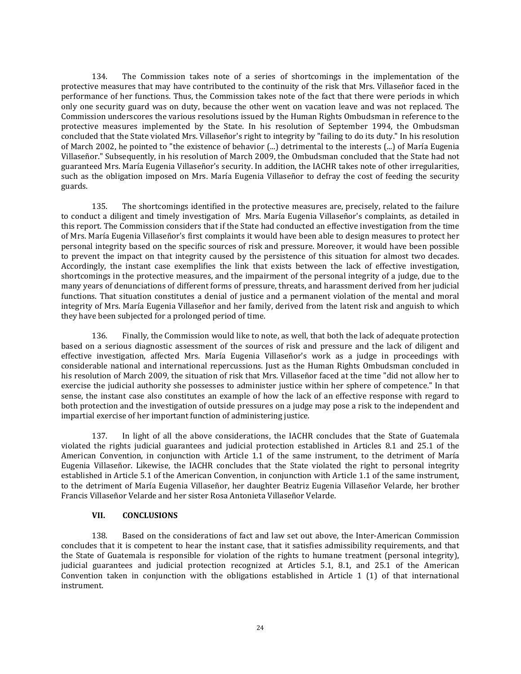134. The Commission takes note of a series of shortcomings in the implementation of the protective measures that may have contributed to the continuity of the risk that Mrs. Villaseñor faced in the performance of her functions. Thus, the Commission takes note of the fact that there were periods in which only one security guard was on duty, because the other went on vacation leave and was not replaced. The Commission underscores the various resolutions issued by the Human Rights Ombudsman in reference to the protective measures implemented by the State. In his resolution of September 1994, the Ombudsman concluded that the State violated Mrs. Villaseñor's right to integrity by "failing to do its duty." In his resolution of March 2002, he pointed to "the existence of behavior (...) detrimental to the interests (...) of María Eugenia Villaseñor." Subsequently, in his resolution of March 2009, the Ombudsman concluded that the State had not guaranteed Mrs. María Eugenia Villaseñor's security. In addition, the IACHR takes note of other irregularities, such as the obligation imposed on Mrs. María Eugenia Villaseñor to defray the cost of feeding the security guards.

135. The shortcomings identified in the protective measures are, precisely, related to the failure to conduct a diligent and timely investigation of Mrs. María Eugenia Villaseñor's complaints, as detailed in this report. The Commission considers that if the State had conducted an effective investigation from the time of Mrs. María Eugenia Villaseñor's first complaints it would have been able to design measures to protect her personal integrity based on the specific sources of risk and pressure. Moreover, it would have been possible to prevent the impact on that integrity caused by the persistence of this situation for almost two decades. Accordingly, the instant case exemplifies the link that exists between the lack of effective investigation, shortcomings in the protective measures, and the impairment of the personal integrity of a judge, due to the many years of denunciations of different forms of pressure, threats, and harassment derived from her judicial functions. That situation constitutes a denial of justice and a permanent violation of the mental and moral integrity of Mrs. María Eugenia Villaseñor and her family, derived from the latent risk and anguish to which they have been subjected for a prolonged period of time.

136. Finally, the Commission would like to note, as well, that both the lack of adequate protection based on a serious diagnostic assessment of the sources of risk and pressure and the lack of diligent and effective investigation, affected Mrs. María Eugenia Villaseñor's work as a judge in proceedings with considerable national and international repercussions. Just as the Human Rights Ombudsman concluded in his resolution of March 2009, the situation of risk that Mrs. Villaseñor faced at the time "did not allow her to exercise the judicial authority she possesses to administer justice within her sphere of competence." In that sense, the instant case also constitutes an example of how the lack of an effective response with regard to both protection and the investigation of outside pressures on a judge may pose a risk to the independent and impartial exercise of her important function of administering justice.

137. In light of all the above considerations, the IACHR concludes that the State of Guatemala violated the rights judicial guarantees and judicial protection established in Articles 8.1 and 25.1 of the American Convention, in conjunction with Article 1.1 of the same instrument, to the detriment of María Eugenia Villaseñor. Likewise, the IACHR concludes that the State violated the right to personal integrity established in Article 5.1 of the American Convention, in conjunction with Article 1.1 of the same instrument, to the detriment of María Eugenia Villaseñor, her daughter Beatriz Eugenia Villaseñor Velarde, her brother Francis Villaseñor Velarde and her sister Rosa Antonieta Villaseñor Velarde.

### **VII. CONCLUSIONS**

138. Based on the considerations of fact and law set out above, the Inter-American Commission concludes that it is competent to hear the instant case, that it satisfies admissibility requirements, and that the State of Guatemala is responsible for violation of the rights to humane treatment (personal integrity), judicial guarantees and judicial protection recognized at Articles 5.1, 8.1, and 25.1 of the American Convention taken in conjunction with the obligations established in Article 1 (1) of that international instrument.